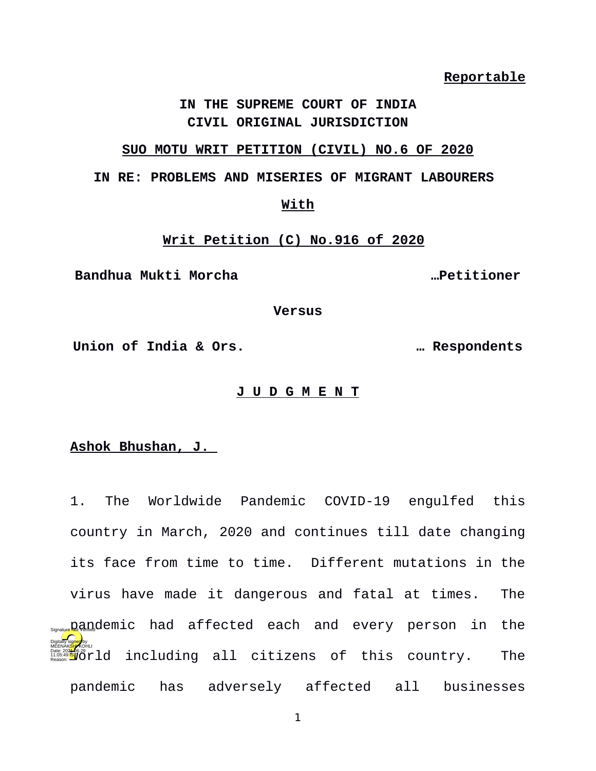**Reportable**

## **IN THE SUPREME COURT OF INDIA CIVIL ORIGINAL JURISDICTION**

# **SUO MOTU WRIT PETITION (CIVIL) NO.6 OF 2020**

## **IN RE: PROBLEMS AND MISERIES OF MIGRANT LABOURERS**

#### **With**

# **Writ Petition (C) No.916 of 2020**

**Bandhua Mukti Morcha …Petitioner**

**Versus**

**Union of India & Ors. … Respondents**

# **J U D G M E N T**

# **Ashok Bhushan, J.**

1. The Worldwide Pandemic COVID-19 engulfed this country in March, 2020 and continues till date changing its face from time to time. Different mutations in the virus have made it dangerous and fatal at times. The s<sub>sgnatue</sub>pandemic had affected each and every person in the were all the country. The set of this country. The reasonships that all citizens of this country. The pandemic has adversely affected all businesses Digitally signed by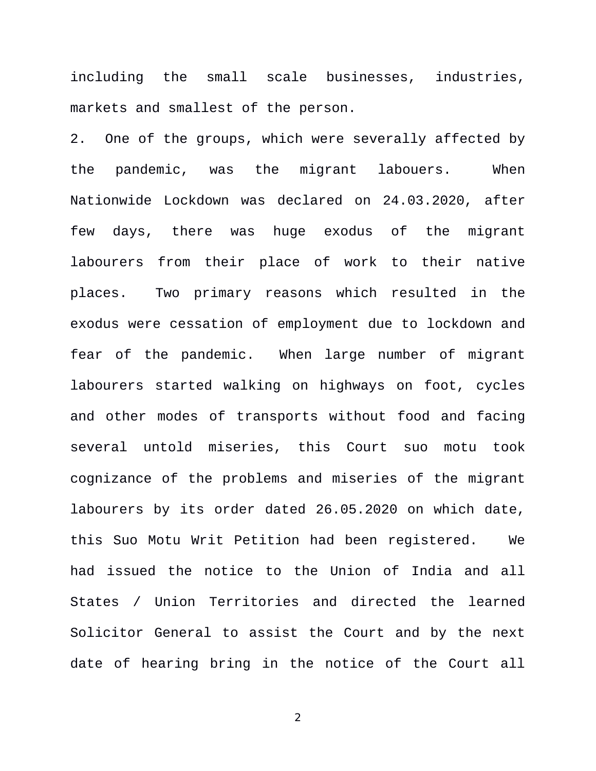including the small scale businesses, industries, markets and smallest of the person.

2. One of the groups, which were severally affected by the pandemic, was the migrant labouers. When Nationwide Lockdown was declared on 24.03.2020, after few days, there was huge exodus of the migrant labourers from their place of work to their native places. Two primary reasons which resulted in the exodus were cessation of employment due to lockdown and fear of the pandemic. When large number of migrant labourers started walking on highways on foot, cycles and other modes of transports without food and facing several untold miseries, this Court suo motu took cognizance of the problems and miseries of the migrant labourers by its order dated 26.05.2020 on which date, this Suo Motu Writ Petition had been registered. We had issued the notice to the Union of India and all States / Union Territories and directed the learned Solicitor General to assist the Court and by the next date of hearing bring in the notice of the Court all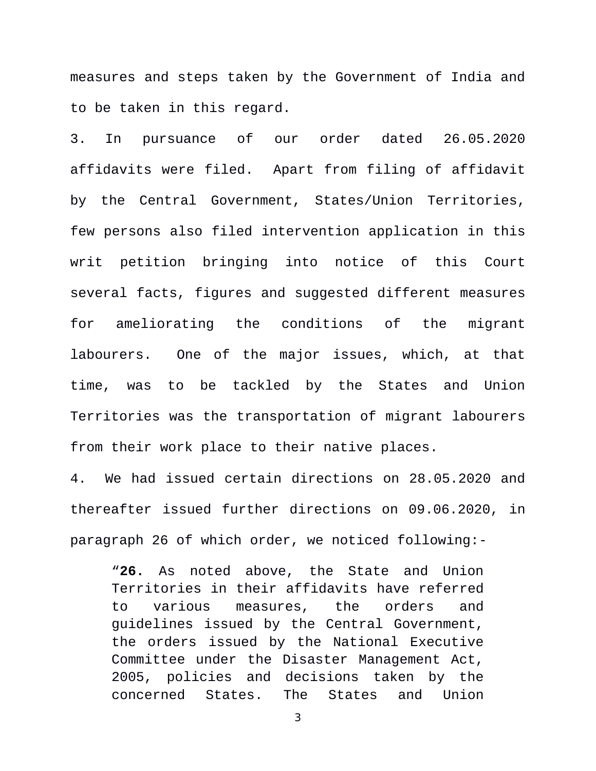measures and steps taken by the Government of India and to be taken in this regard.

3. In pursuance of our order dated 26.05.2020 affidavits were filed. Apart from filing of affidavit by the Central Government, States/Union Territories, few persons also filed intervention application in this writ petition bringing into notice of this Court several facts, figures and suggested different measures for ameliorating the conditions of the migrant labourers. One of the major issues, which, at that time, was to be tackled by the States and Union Territories was the transportation of migrant labourers from their work place to their native places.

4. We had issued certain directions on 28.05.2020 and thereafter issued further directions on 09.06.2020, in paragraph 26 of which order, we noticed following:-

"**26.** As noted above, the State and Union Territories in their affidavits have referred to various measures, the orders and guidelines issued by the Central Government, the orders issued by the National Executive Committee under the Disaster Management Act, 2005, policies and decisions taken by the concerned States. The States and Union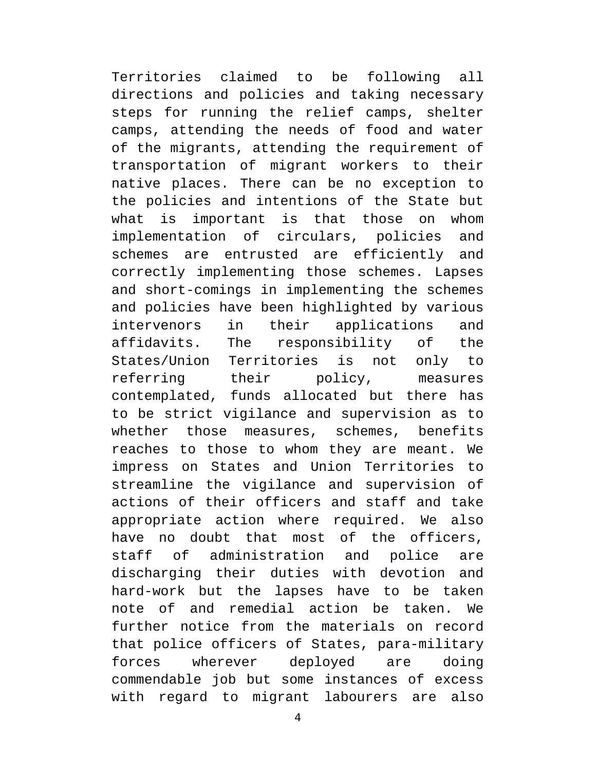Territories claimed to be following all directions and policies and taking necessary steps for running the relief camps, shelter camps, attending the needs of food and water of the migrants, attending the requirement of transportation of migrant workers to their native places. There can be no exception to the policies and intentions of the State but what is important is that those on whom implementation of circulars, policies and schemes are entrusted are efficiently and correctly implementing those schemes. Lapses and short-comings in implementing the schemes and policies have been highlighted by various intervenors in their applications and affidavits. The responsibility of the States/Union Territories is not only to referring their policy, measures contemplated, funds allocated but there has to be strict vigilance and supervision as to whether those measures, schemes, benefits reaches to those to whom they are meant. We impress on States and Union Territories to streamline the vigilance and supervision of actions of their officers and staff and take appropriate action where required. We also have no doubt that most of the officers, staff of administration and police are discharging their duties with devotion and hard-work but the lapses have to be taken note of and remedial action be taken. We further notice from the materials on record that police officers of States, para-military forces wherever deployed are doing commendable job but some instances of excess with regard to migrant labourers are also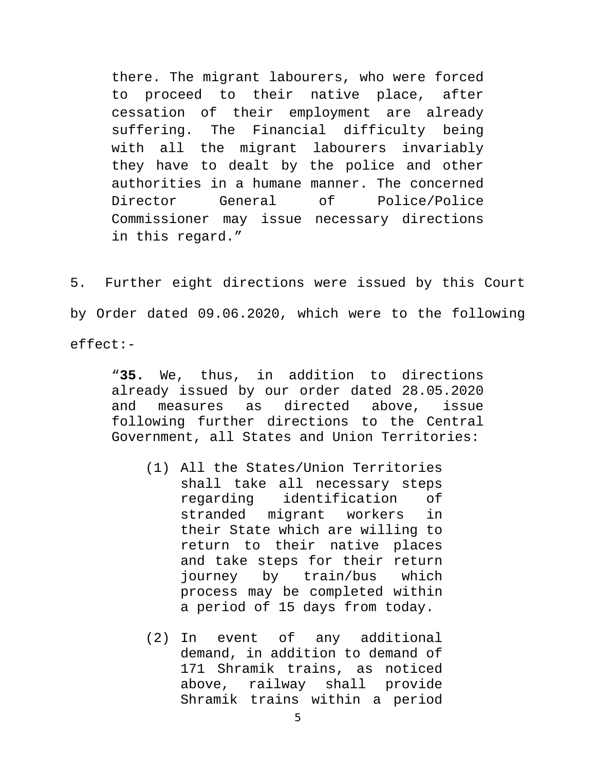there. The migrant labourers, who were forced to proceed to their native place, after cessation of their employment are already suffering. The Financial difficulty being with all the migrant labourers invariably they have to dealt by the police and other authorities in a humane manner. The concerned Director General of Police/Police Commissioner may issue necessary directions in this regard."

5. Further eight directions were issued by this Court by Order dated 09.06.2020, which were to the following effect:-

"**35.** We, thus, in addition to directions already issued by our order dated 28.05.2020 and measures as directed above, issue following further directions to the Central Government, all States and Union Territories:

- (1) All the States/Union Territories shall take all necessary steps regarding identification of stranded migrant workers in their State which are willing to return to their native places and take steps for their return journey by train/bus which process may be completed within a period of 15 days from today.
- (2) In event of any additional demand, in addition to demand of 171 Shramik trains, as noticed above, railway shall provide Shramik trains within a period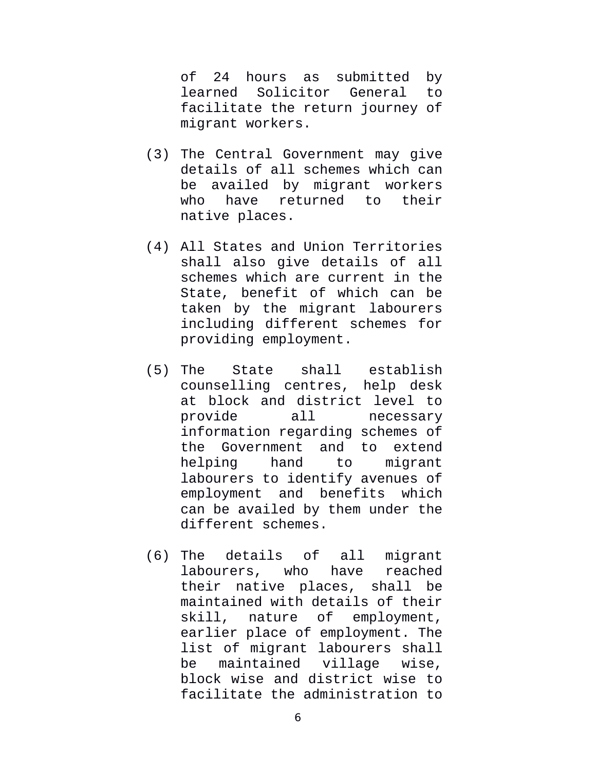of 24 hours as submitted by learned Solicitor General to facilitate the return journey of migrant workers.

- (3) The Central Government may give details of all schemes which can be availed by migrant workers who have returned to their native places.
- (4) All States and Union Territories shall also give details of all schemes which are current in the State, benefit of which can be taken by the migrant labourers including different schemes for providing employment.
- (5) The State shall establish counselling centres, help desk at block and district level to provide all necessary information regarding schemes of the Government and to extend helping hand to migrant labourers to identify avenues of employment and benefits which can be availed by them under the different schemes.
- (6) The details of all migrant labourers, who have reached their native places, shall be maintained with details of their skill, nature of employment, earlier place of employment. The list of migrant labourers shall be maintained village wise, block wise and district wise to facilitate the administration to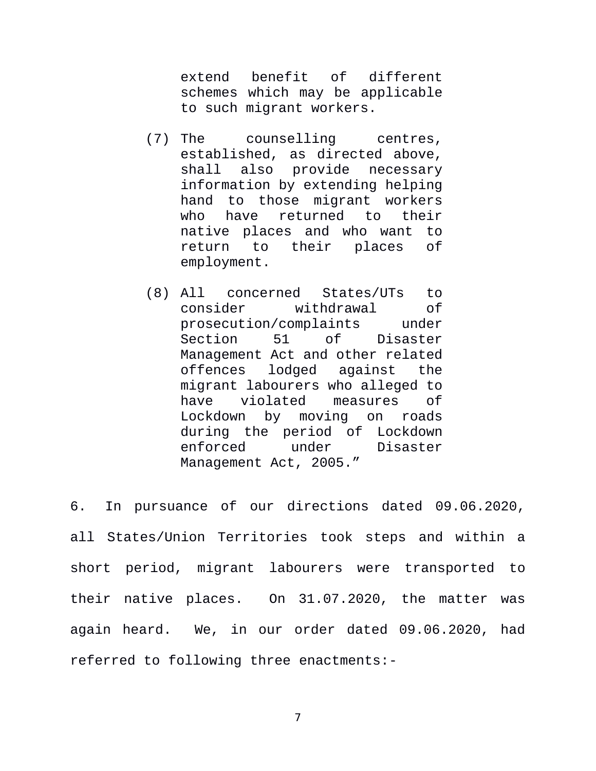extend benefit of different schemes which may be applicable to such migrant workers.

- (7) The counselling centres, established, as directed above, shall also provide necessary information by extending helping hand to those migrant workers who have returned to their native places and who want to return to their places of employment.
- (8) All concerned States/UTs to consider withdrawal of prosecution/complaints under Section 51 of Disaster Management Act and other related<br>offences lodged against the offences lodged migrant labourers who alleged to have violated measures of Lockdown by moving on roads during the period of Lockdown enforced under Disaster Management Act, 2005."

6. In pursuance of our directions dated 09.06.2020, all States/Union Territories took steps and within a short period, migrant labourers were transported to their native places. On 31.07.2020, the matter was again heard. We, in our order dated 09.06.2020, had referred to following three enactments:-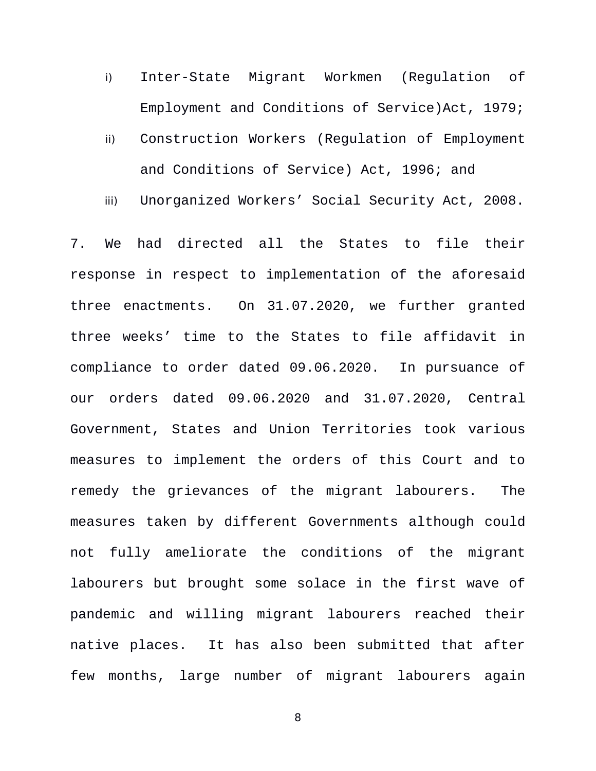- i) Inter-State Migrant Workmen (Regulation of Employment and Conditions of Service)Act, 1979;
- ii) Construction Workers (Regulation of Employment and Conditions of Service) Act, 1996; and
- iii) Unorganized Workers' Social Security Act, 2008.

7. We had directed all the States to file their response in respect to implementation of the aforesaid three enactments. On 31.07.2020, we further granted three weeks' time to the States to file affidavit in compliance to order dated 09.06.2020. In pursuance of our orders dated 09.06.2020 and 31.07.2020, Central Government, States and Union Territories took various measures to implement the orders of this Court and to remedy the grievances of the migrant labourers. The measures taken by different Governments although could not fully ameliorate the conditions of the migrant labourers but brought some solace in the first wave of pandemic and willing migrant labourers reached their native places. It has also been submitted that after few months, large number of migrant labourers again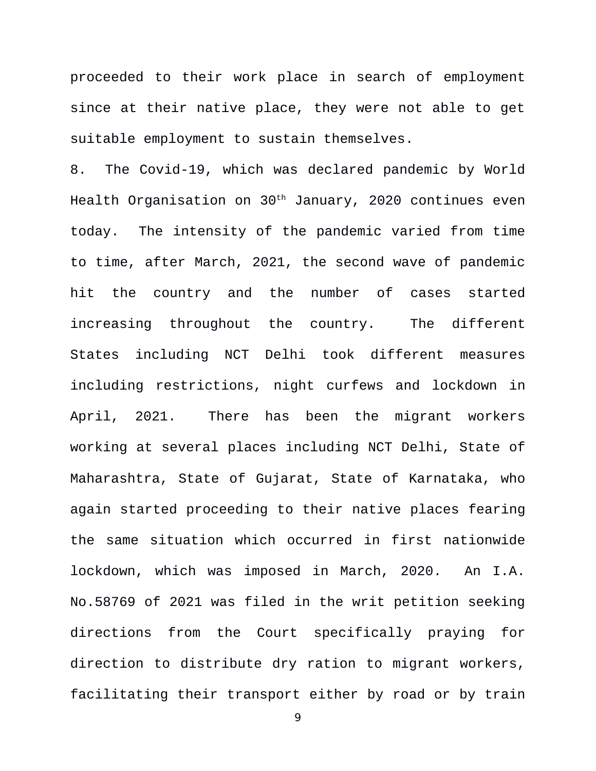proceeded to their work place in search of employment since at their native place, they were not able to get suitable employment to sustain themselves.

8. The Covid-19, which was declared pandemic by World Health Organisation on 30th January, 2020 continues even today. The intensity of the pandemic varied from time to time, after March, 2021, the second wave of pandemic hit the country and the number of cases started increasing throughout the country. The different States including NCT Delhi took different measures including restrictions, night curfews and lockdown in April, 2021. There has been the migrant workers working at several places including NCT Delhi, State of Maharashtra, State of Gujarat, State of Karnataka, who again started proceeding to their native places fearing the same situation which occurred in first nationwide lockdown, which was imposed in March, 2020. An I.A. No.58769 of 2021 was filed in the writ petition seeking directions from the Court specifically praying for direction to distribute dry ration to migrant workers, facilitating their transport either by road or by train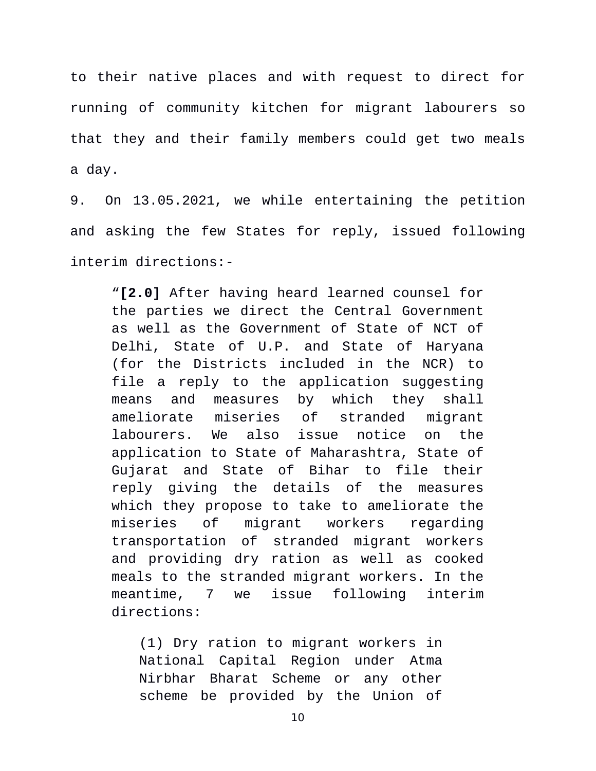to their native places and with request to direct for running of community kitchen for migrant labourers so that they and their family members could get two meals a day.

9. On 13.05.2021, we while entertaining the petition and asking the few States for reply, issued following interim directions:-

"**[2.0]** After having heard learned counsel for the parties we direct the Central Government as well as the Government of State of NCT of Delhi, State of U.P. and State of Haryana (for the Districts included in the NCR) to file a reply to the application suggesting means and measures by which they shall ameliorate miseries of stranded migrant labourers. We also issue notice on the application to State of Maharashtra, State of Gujarat and State of Bihar to file their reply giving the details of the measures which they propose to take to ameliorate the miseries of migrant workers regarding transportation of stranded migrant workers and providing dry ration as well as cooked meals to the stranded migrant workers. In the meantime, 7 we issue following interim directions:

(1) Dry ration to migrant workers in National Capital Region under Atma Nirbhar Bharat Scheme or any other scheme be provided by the Union of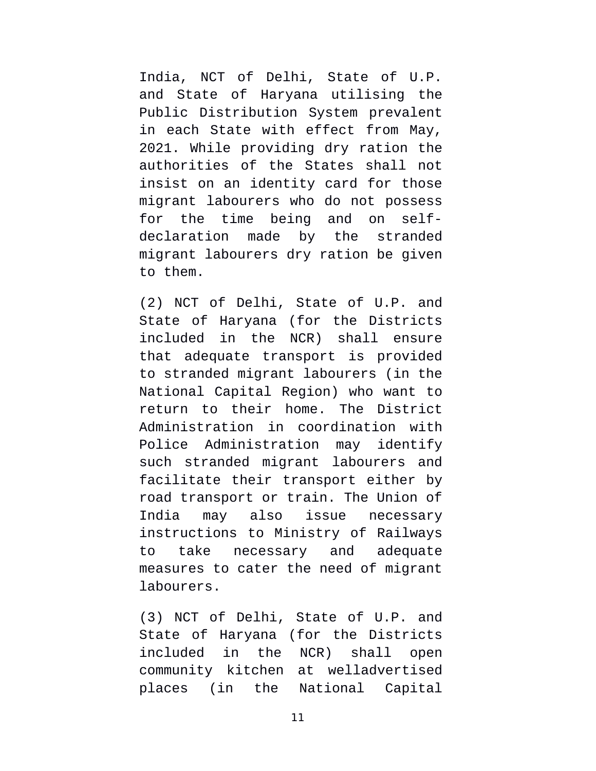India, NCT of Delhi, State of U.P. and State of Haryana utilising the Public Distribution System prevalent in each State with effect from May, 2021. While providing dry ration the authorities of the States shall not insist on an identity card for those migrant labourers who do not possess for the time being and on selfdeclaration made by the stranded migrant labourers dry ration be given to them.

(2) NCT of Delhi, State of U.P. and State of Haryana (for the Districts included in the NCR) shall ensure that adequate transport is provided to stranded migrant labourers (in the National Capital Region) who want to return to their home. The District Administration in coordination with Police Administration may identify such stranded migrant labourers and facilitate their transport either by road transport or train. The Union of India may also issue necessary instructions to Ministry of Railways to take necessary and adequate measures to cater the need of migrant labourers.

(3) NCT of Delhi, State of U.P. and State of Haryana (for the Districts included in the NCR) shall open community kitchen at welladvertised places (in the National Capital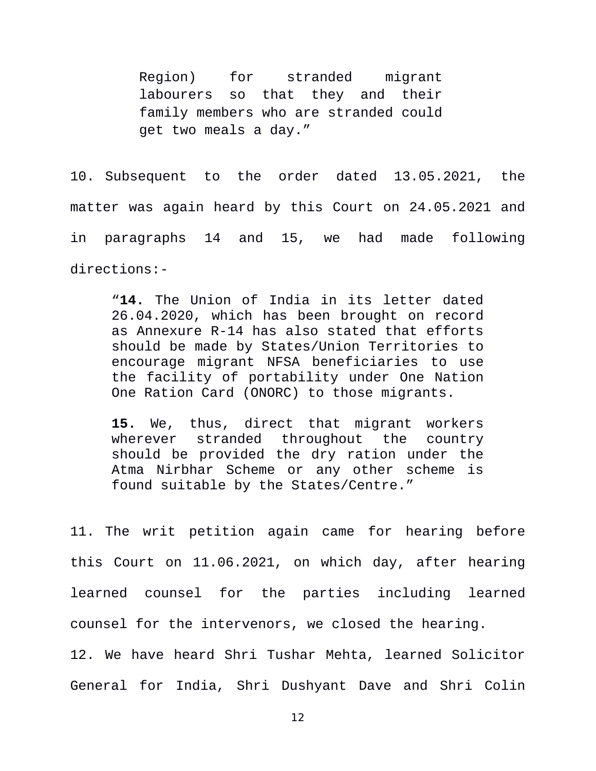Region) for stranded migrant labourers so that they and their family members who are stranded could get two meals a day."

10. Subsequent to the order dated 13.05.2021, the matter was again heard by this Court on 24.05.2021 and in paragraphs 14 and 15, we had made following directions:-

"**14.** The Union of India in its letter dated 26.04.2020, which has been brought on record as Annexure R-14 has also stated that efforts should be made by States/Union Territories to encourage migrant NFSA beneficiaries to use the facility of portability under One Nation One Ration Card (ONORC) to those migrants.

**15.** We, thus, direct that migrant workers wherever stranded throughout the country should be provided the dry ration under the Atma Nirbhar Scheme or any other scheme is found suitable by the States/Centre."

11. The writ petition again came for hearing before this Court on 11.06.2021, on which day, after hearing learned counsel for the parties including learned counsel for the intervenors, we closed the hearing. 12. We have heard Shri Tushar Mehta, learned Solicitor General for India, Shri Dushyant Dave and Shri Colin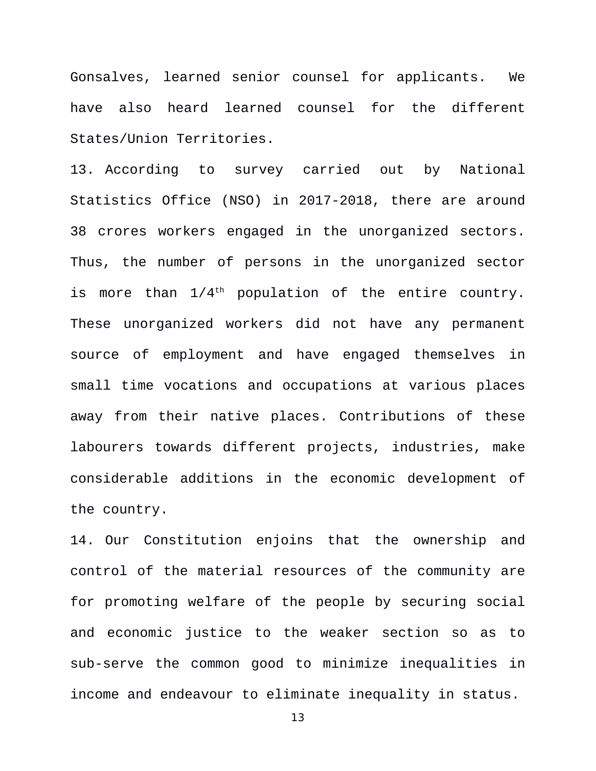Gonsalves, learned senior counsel for applicants. We have also heard learned counsel for the different States/Union Territories.

13. According to survey carried out by National Statistics Office (NSO) in 2017-2018, there are around 38 crores workers engaged in the unorganized sectors. Thus, the number of persons in the unorganized sector is more than  $1/4$ <sup>th</sup> population of the entire country. These unorganized workers did not have any permanent source of employment and have engaged themselves in small time vocations and occupations at various places away from their native places. Contributions of these labourers towards different projects, industries, make considerable additions in the economic development of the country.

14. Our Constitution enjoins that the ownership and control of the material resources of the community are for promoting welfare of the people by securing social and economic justice to the weaker section so as to sub-serve the common good to minimize inequalities in income and endeavour to eliminate inequality in status.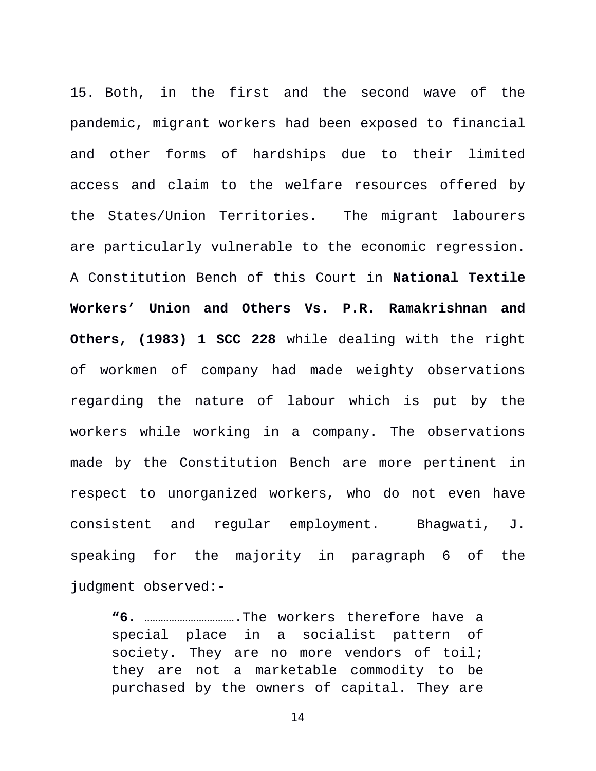15. Both, in the first and the second wave of the pandemic, migrant workers had been exposed to financial and other forms of hardships due to their limited access and claim to the welfare resources offered by the States/Union Territories. The migrant labourers are particularly vulnerable to the economic regression. A Constitution Bench of this Court in **National Textile Workers' Union and Others Vs. P.R. Ramakrishnan and Others, (1983) 1 SCC 228** while dealing with the right of workmen of company had made weighty observations regarding the nature of labour which is put by the workers while working in a company. The observations made by the Constitution Bench are more pertinent in respect to unorganized workers, who do not even have consistent and regular employment. Bhagwati, J. speaking for the majority in paragraph 6 of the judgment observed:-

**"6.** …………………………….The workers therefore have a special place in a socialist pattern of society. They are no more vendors of toil; they are not a marketable commodity to be purchased by the owners of capital. They are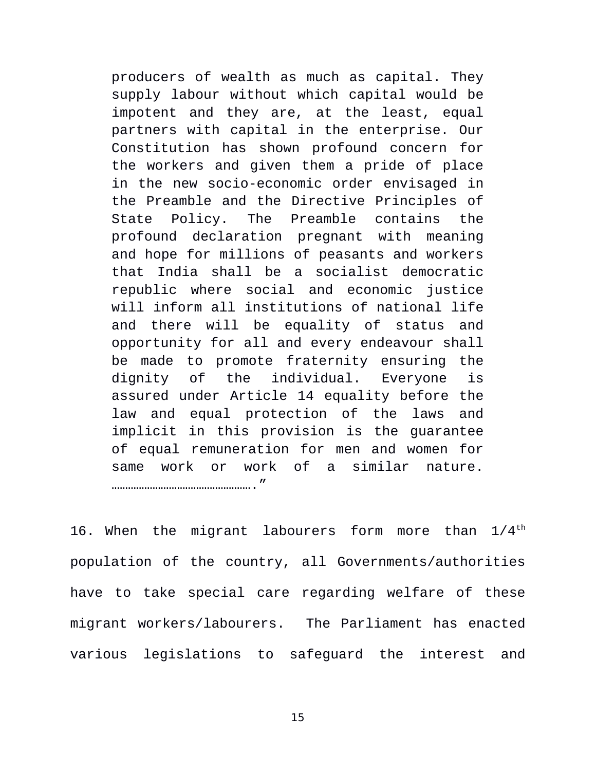producers of wealth as much as capital. They supply labour without which capital would be impotent and they are, at the least, equal partners with capital in the enterprise. Our Constitution has shown profound concern for the workers and given them a pride of place in the new socio-economic order envisaged in the Preamble and the Directive Principles of State Policy. The Preamble contains the profound declaration pregnant with meaning and hope for millions of peasants and workers that India shall be a socialist democratic republic where social and economic justice will inform all institutions of national life and there will be equality of status and opportunity for all and every endeavour shall be made to promote fraternity ensuring the dignity of the individual. Everyone is assured under Article 14 equality before the law and equal protection of the laws and implicit in this provision is the guarantee of equal remuneration for men and women for same work or work of a similar nature. ……………………………………………."

16. When the migrant labourers form more than  $1/4$ <sup>th</sup> population of the country, all Governments/authorities have to take special care regarding welfare of these migrant workers/labourers. The Parliament has enacted various legislations to safeguard the interest and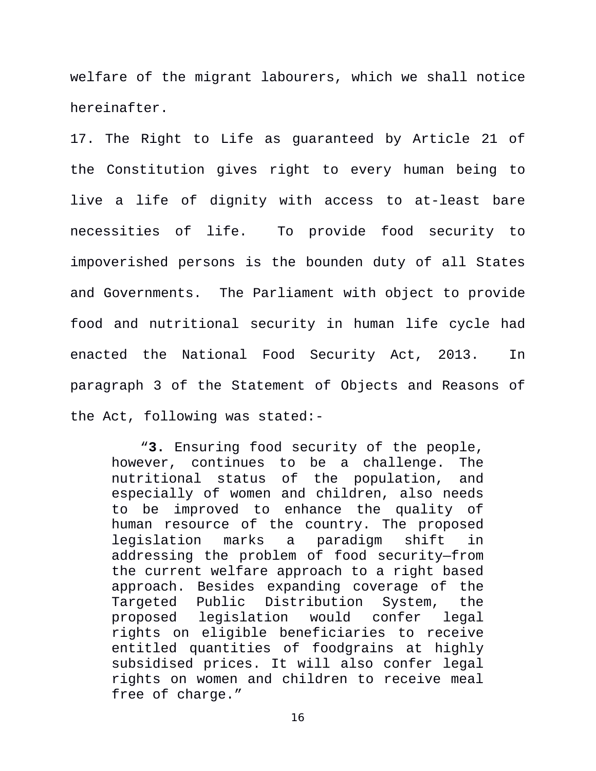welfare of the migrant labourers, which we shall notice hereinafter.

17. The Right to Life as guaranteed by Article 21 of the Constitution gives right to every human being to live a life of dignity with access to at-least bare necessities of life. To provide food security to impoverished persons is the bounden duty of all States and Governments. The Parliament with object to provide food and nutritional security in human life cycle had enacted the National Food Security Act, 2013. In paragraph 3 of the Statement of Objects and Reasons of the Act, following was stated:-

 "**3.** Ensuring food security of the people, however, continues to be a challenge. The nutritional status of the population, and especially of women and children, also needs to be improved to enhance the quality of human resource of the country. The proposed legislation marks a paradigm shift in addressing the problem of food security—from the current welfare approach to a right based approach. Besides expanding coverage of the Targeted Public Distribution System, the proposed legislation would confer legal rights on eligible beneficiaries to receive entitled quantities of foodgrains at highly subsidised prices. It will also confer legal rights on women and children to receive meal free of charge."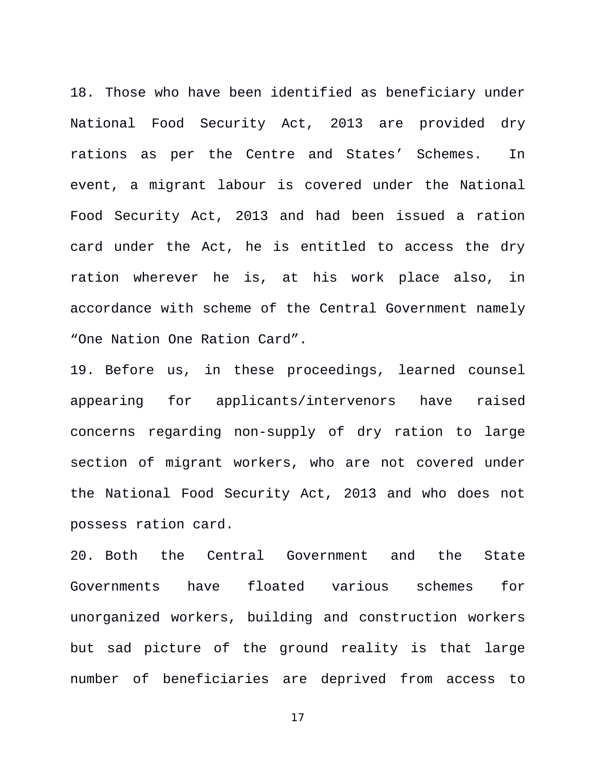18. Those who have been identified as beneficiary under National Food Security Act, 2013 are provided dry rations as per the Centre and States' Schemes. In event, a migrant labour is covered under the National Food Security Act, 2013 and had been issued a ration card under the Act, he is entitled to access the dry ration wherever he is, at his work place also, in accordance with scheme of the Central Government namely "One Nation One Ration Card".

19. Before us, in these proceedings, learned counsel appearing for applicants/intervenors have raised concerns regarding non-supply of dry ration to large section of migrant workers, who are not covered under the National Food Security Act, 2013 and who does not possess ration card.

20. Both the Central Government and the State Governments have floated various schemes for unorganized workers, building and construction workers but sad picture of the ground reality is that large number of beneficiaries are deprived from access to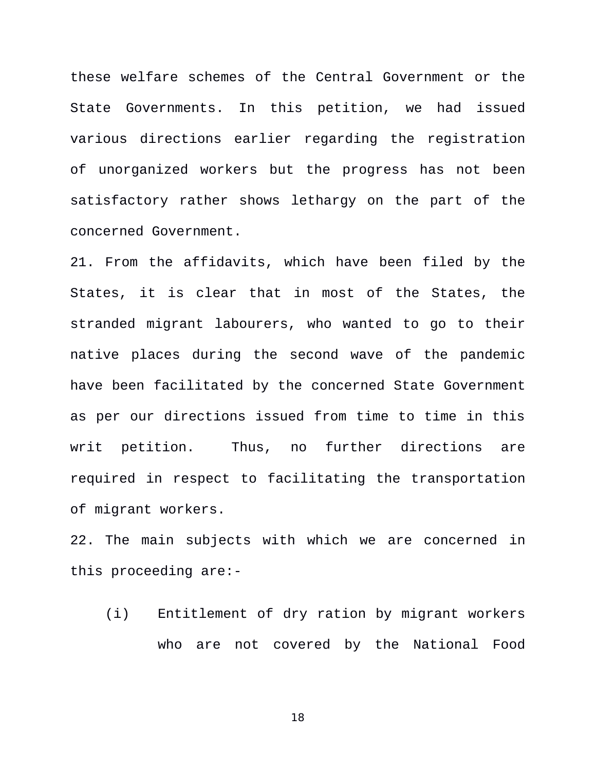these welfare schemes of the Central Government or the State Governments. In this petition, we had issued various directions earlier regarding the registration of unorganized workers but the progress has not been satisfactory rather shows lethargy on the part of the concerned Government.

21. From the affidavits, which have been filed by the States, it is clear that in most of the States, the stranded migrant labourers, who wanted to go to their native places during the second wave of the pandemic have been facilitated by the concerned State Government as per our directions issued from time to time in this writ petition. Thus, no further directions are required in respect to facilitating the transportation of migrant workers.

22. The main subjects with which we are concerned in this proceeding are:-

(i) Entitlement of dry ration by migrant workers who are not covered by the National Food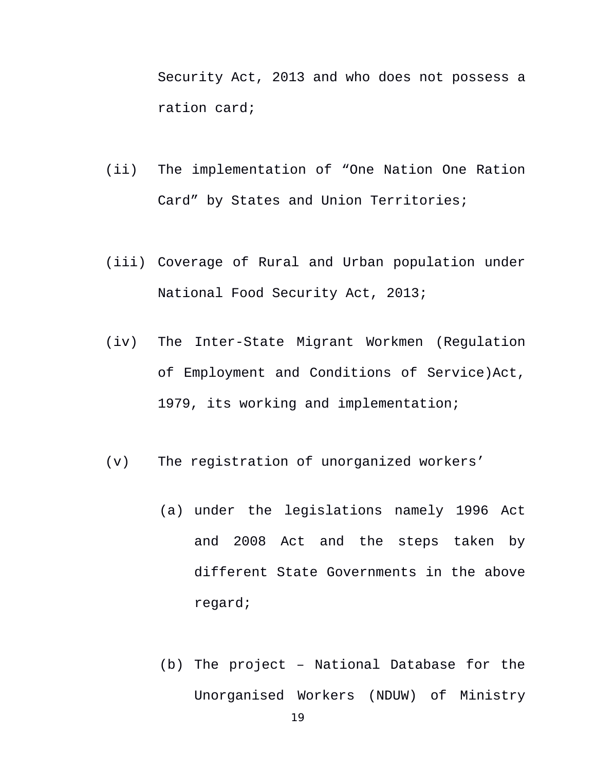Security Act, 2013 and who does not possess a ration card;

- (ii) The implementation of "One Nation One Ration Card" by States and Union Territories;
- (iii) Coverage of Rural and Urban population under National Food Security Act, 2013;
- (iv) The Inter-State Migrant Workmen (Regulation of Employment and Conditions of Service)Act, 1979, its working and implementation;
- (v) The registration of unorganized workers'
	- (a) under the legislations namely 1996 Act and 2008 Act and the steps taken by different State Governments in the above regard;
	- (b) The project National Database for the Unorganised Workers (NDUW) of Ministry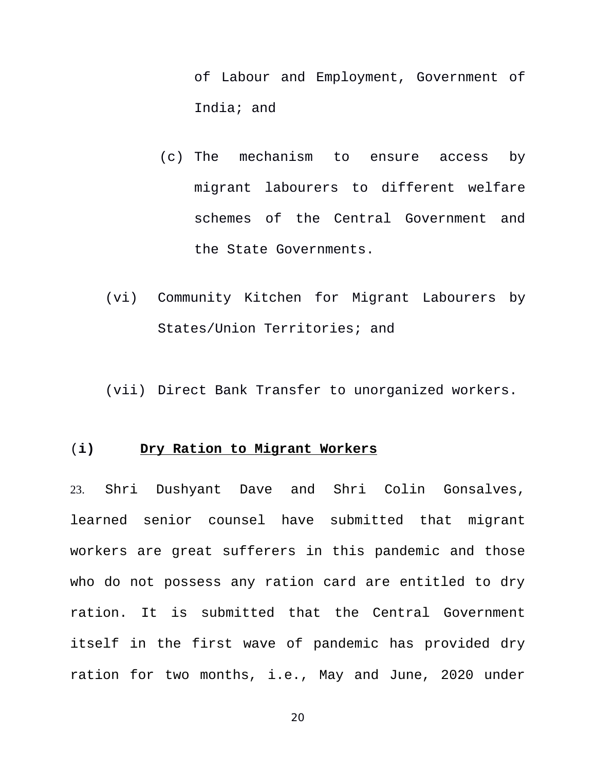of Labour and Employment, Government of India; and

- (c) The mechanism to ensure access by migrant labourers to different welfare schemes of the Central Government and the State Governments.
- (vi) Community Kitchen for Migrant Labourers by States/Union Territories; and

(vii) Direct Bank Transfer to unorganized workers.

#### (**i) Dry Ration to Migrant Workers**

23. Shri Dushyant Dave and Shri Colin Gonsalves, learned senior counsel have submitted that migrant workers are great sufferers in this pandemic and those who do not possess any ration card are entitled to dry ration. It is submitted that the Central Government itself in the first wave of pandemic has provided dry ration for two months, i.e., May and June, 2020 under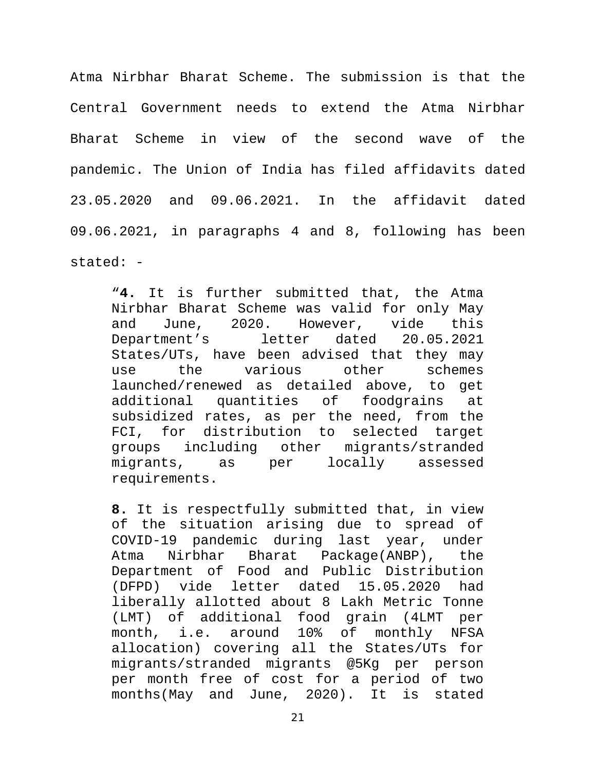Atma Nirbhar Bharat Scheme. The submission is that the Central Government needs to extend the Atma Nirbhar Bharat Scheme in view of the second wave of the pandemic. The Union of India has filed affidavits dated 23.05.2020 and 09.06.2021. In the affidavit dated 09.06.2021, in paragraphs 4 and 8, following has been stated: -

"**4.** It is further submitted that, the Atma Nirbhar Bharat Scheme was valid for only May and June, 2020. However, vide this Department's letter dated 20.05.2021 States/UTs, have been advised that they may use the various other schemes launched/renewed as detailed above, to get additional quantities of foodgrains at subsidized rates, as per the need, from the FCI, for distribution to selected target groups including other migrants/stranded migrants, as per locally assessed requirements.

**8.** It is respectfully submitted that, in view of the situation arising due to spread of COVID-19 pandemic during last year, under Atma Nirbhar Bharat Package(ANBP), the Department of Food and Public Distribution (DFPD) vide letter dated 15.05.2020 had liberally allotted about 8 Lakh Metric Tonne (LMT) of additional food grain (4LMT per month, i.e. around 10% of monthly NFSA allocation) covering all the States/UTs for migrants/stranded migrants @5Kg per person per month free of cost for a period of two months(May and June, 2020). It is stated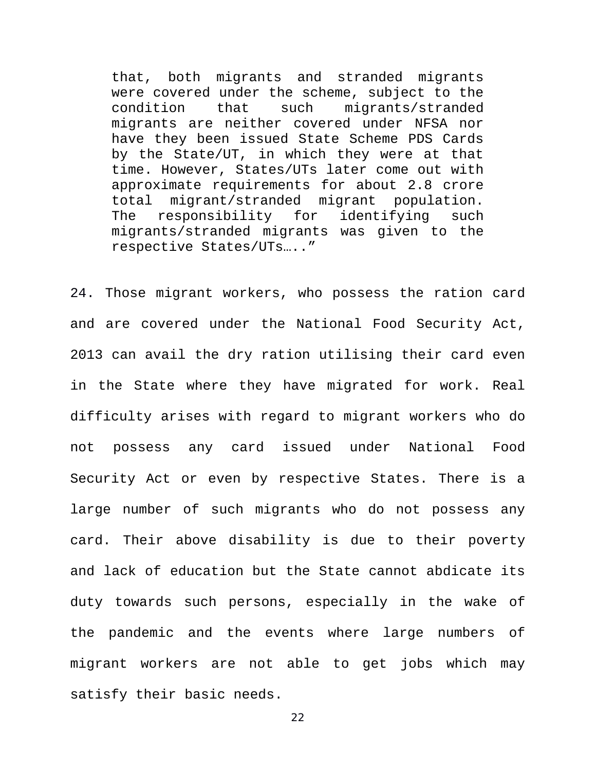that, both migrants and stranded migrants were covered under the scheme, subject to the condition that such migrants/stranded migrants are neither covered under NFSA nor have they been issued State Scheme PDS Cards by the State/UT, in which they were at that time. However, States/UTs later come out with approximate requirements for about 2.8 crore total migrant/stranded migrant population. The responsibility for identifying such migrants/stranded migrants was given to the respective States/UTs….."

24. Those migrant workers, who possess the ration card and are covered under the National Food Security Act, 2013 can avail the dry ration utilising their card even in the State where they have migrated for work. Real difficulty arises with regard to migrant workers who do not possess any card issued under National Food Security Act or even by respective States. There is a large number of such migrants who do not possess any card. Their above disability is due to their poverty and lack of education but the State cannot abdicate its duty towards such persons, especially in the wake of the pandemic and the events where large numbers of migrant workers are not able to get jobs which may satisfy their basic needs.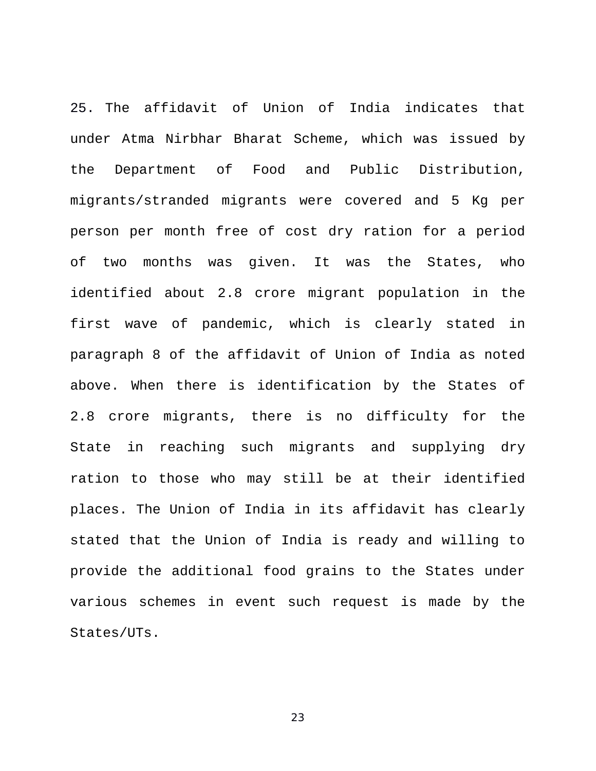25. The affidavit of Union of India indicates that under Atma Nirbhar Bharat Scheme, which was issued by the Department of Food and Public Distribution, migrants/stranded migrants were covered and 5 Kg per person per month free of cost dry ration for a period of two months was given. It was the States, who identified about 2.8 crore migrant population in the first wave of pandemic, which is clearly stated in paragraph 8 of the affidavit of Union of India as noted above. When there is identification by the States of 2.8 crore migrants, there is no difficulty for the State in reaching such migrants and supplying dry ration to those who may still be at their identified places. The Union of India in its affidavit has clearly stated that the Union of India is ready and willing to provide the additional food grains to the States under various schemes in event such request is made by the States/UTs.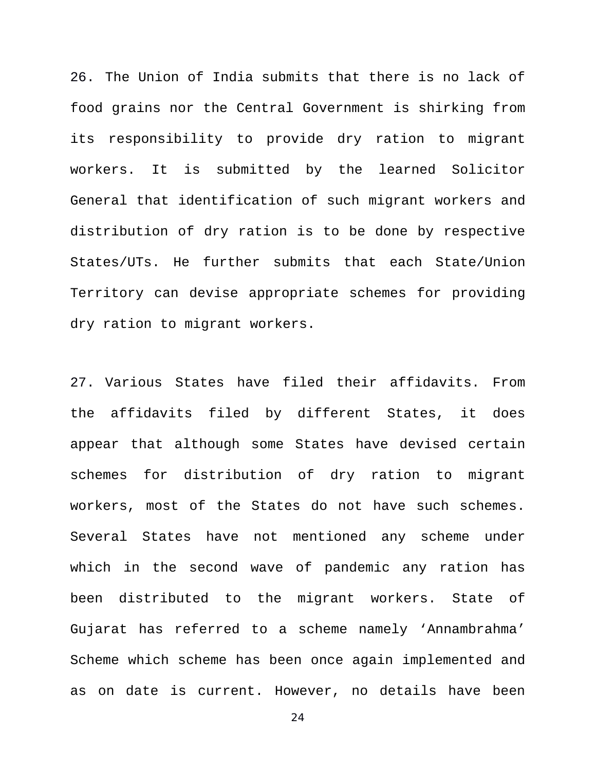26. The Union of India submits that there is no lack of food grains nor the Central Government is shirking from its responsibility to provide dry ration to migrant workers. It is submitted by the learned Solicitor General that identification of such migrant workers and distribution of dry ration is to be done by respective States/UTs. He further submits that each State/Union Territory can devise appropriate schemes for providing dry ration to migrant workers.

27. Various States have filed their affidavits. From the affidavits filed by different States, it does appear that although some States have devised certain schemes for distribution of dry ration to migrant workers, most of the States do not have such schemes. Several States have not mentioned any scheme under which in the second wave of pandemic any ration has been distributed to the migrant workers. State of Gujarat has referred to a scheme namely 'Annambrahma' Scheme which scheme has been once again implemented and as on date is current. However, no details have been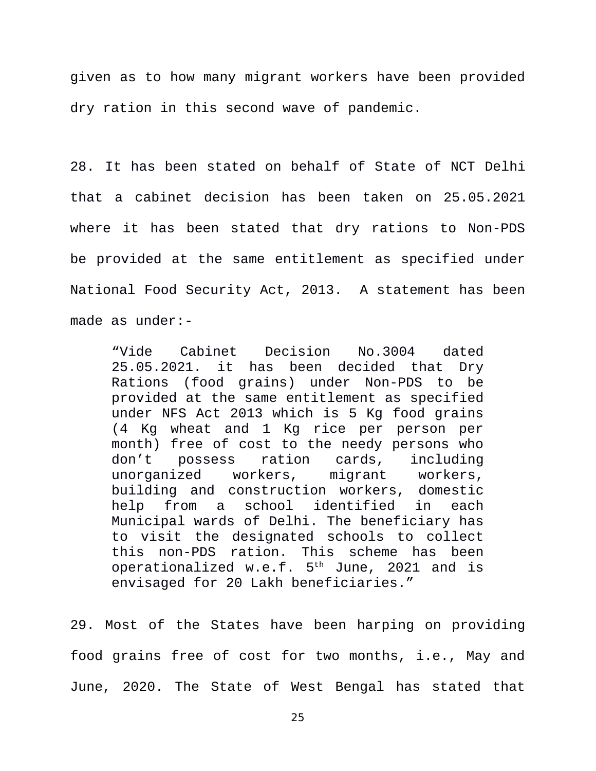given as to how many migrant workers have been provided dry ration in this second wave of pandemic.

28. It has been stated on behalf of State of NCT Delhi that a cabinet decision has been taken on 25.05.2021 where it has been stated that dry rations to Non-PDS be provided at the same entitlement as specified under National Food Security Act, 2013. A statement has been made as under:-

"Vide Cabinet Decision No.3004 dated 25.05.2021. it has been decided that Dry Rations (food grains) under Non-PDS to be provided at the same entitlement as specified under NFS Act 2013 which is 5 Kg food grains (4 Kg wheat and 1 Kg rice per person per month) free of cost to the needy persons who don't possess ration cards, including unorganized workers, migrant workers, building and construction workers, domestic help from a school identified in each Municipal wards of Delhi. The beneficiary has to visit the designated schools to collect this non-PDS ration. This scheme has been operationalized w.e.f. 5th June, 2021 and is envisaged for 20 Lakh beneficiaries."

29. Most of the States have been harping on providing food grains free of cost for two months, i.e., May and June, 2020. The State of West Bengal has stated that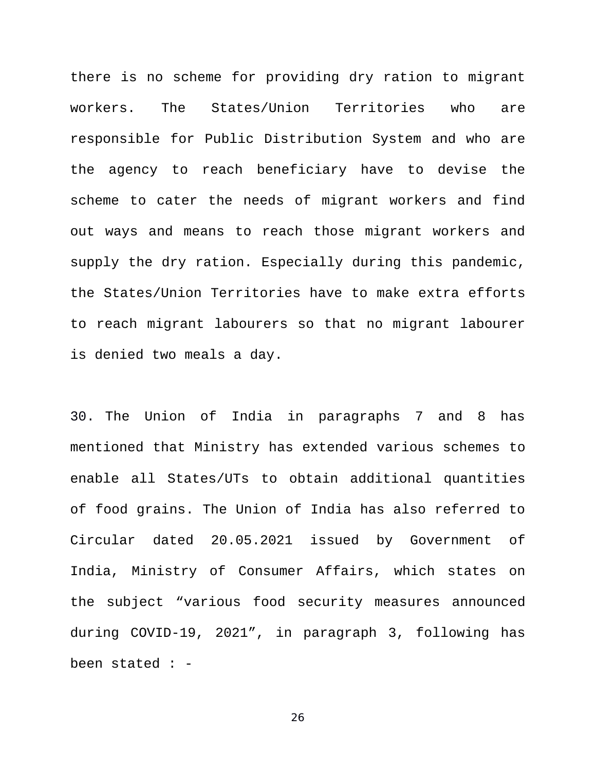there is no scheme for providing dry ration to migrant workers. The States/Union Territories who are responsible for Public Distribution System and who are the agency to reach beneficiary have to devise the scheme to cater the needs of migrant workers and find out ways and means to reach those migrant workers and supply the dry ration. Especially during this pandemic, the States/Union Territories have to make extra efforts to reach migrant labourers so that no migrant labourer is denied two meals a day.

30. The Union of India in paragraphs 7 and 8 has mentioned that Ministry has extended various schemes to enable all States/UTs to obtain additional quantities of food grains. The Union of India has also referred to Circular dated 20.05.2021 issued by Government of India, Ministry of Consumer Affairs, which states on the subject "various food security measures announced during COVID-19, 2021", in paragraph 3, following has been stated : -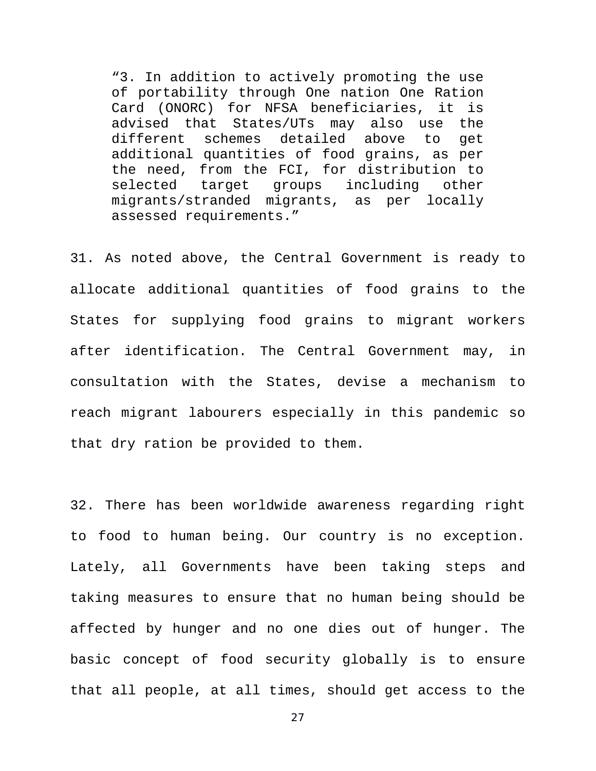"3. In addition to actively promoting the use of portability through One nation One Ration Card (ONORC) for NFSA beneficiaries, it is advised that States/UTs may also use the different schemes detailed above to get additional quantities of food grains, as per the need, from the FCI, for distribution to selected target groups including other migrants/stranded migrants, as per locally assessed requirements."

31. As noted above, the Central Government is ready to allocate additional quantities of food grains to the States for supplying food grains to migrant workers after identification. The Central Government may, in consultation with the States, devise a mechanism to reach migrant labourers especially in this pandemic so that dry ration be provided to them.

32. There has been worldwide awareness regarding right to food to human being. Our country is no exception. Lately, all Governments have been taking steps and taking measures to ensure that no human being should be affected by hunger and no one dies out of hunger. The basic concept of food security globally is to ensure that all people, at all times, should get access to the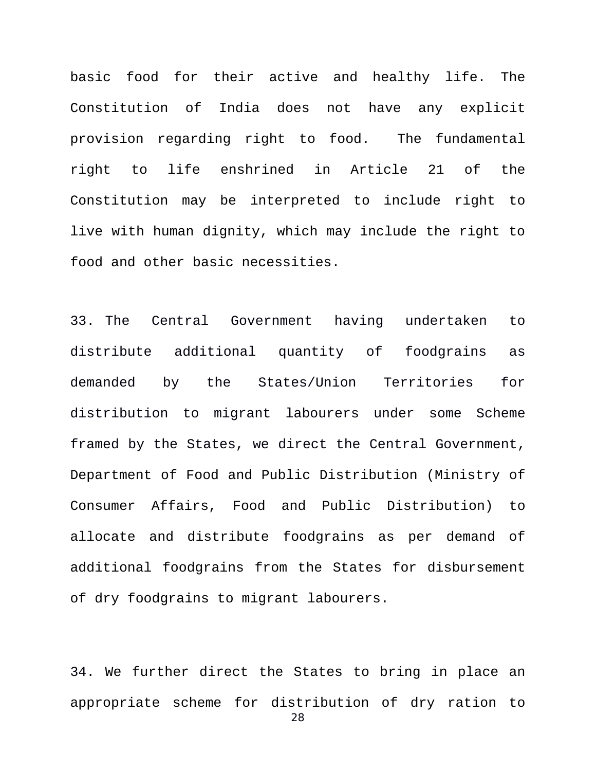basic food for their active and healthy life. The Constitution of India does not have any explicit provision regarding right to food. The fundamental right to life enshrined in Article 21 of the Constitution may be interpreted to include right to live with human dignity, which may include the right to food and other basic necessities.

33. The Central Government having undertaken to distribute additional quantity of foodgrains as demanded by the States/Union Territories for distribution to migrant labourers under some Scheme framed by the States, we direct the Central Government, Department of Food and Public Distribution (Ministry of Consumer Affairs, Food and Public Distribution) to allocate and distribute foodgrains as per demand of additional foodgrains from the States for disbursement of dry foodgrains to migrant labourers.

34. We further direct the States to bring in place an appropriate scheme for distribution of dry ration to 28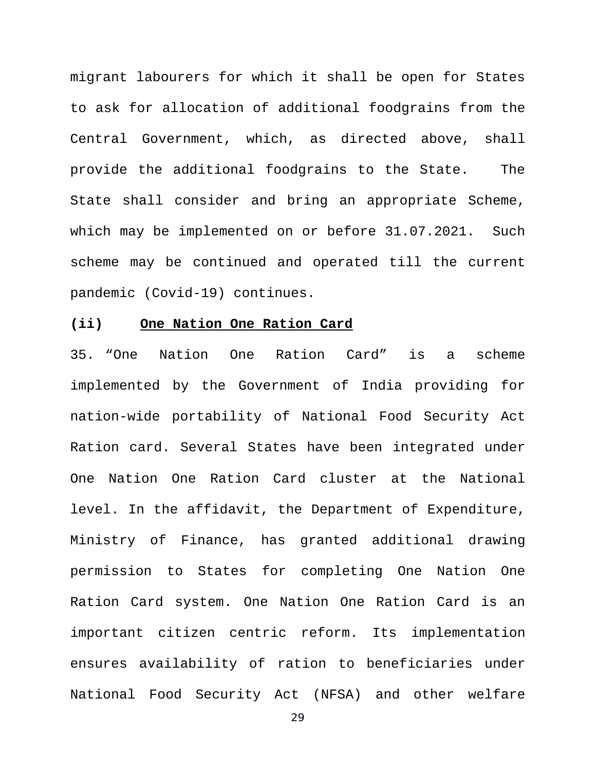migrant labourers for which it shall be open for States to ask for allocation of additional foodgrains from the Central Government, which, as directed above, shall provide the additional foodgrains to the State. The State shall consider and bring an appropriate Scheme, which may be implemented on or before 31.07.2021. Such scheme may be continued and operated till the current pandemic (Covid-19) continues.

## **(ii) One Nation One Ration Card**

35. "One Nation One Ration Card" is a scheme implemented by the Government of India providing for nation-wide portability of National Food Security Act Ration card. Several States have been integrated under One Nation One Ration Card cluster at the National level. In the affidavit, the Department of Expenditure, Ministry of Finance, has granted additional drawing permission to States for completing One Nation One Ration Card system. One Nation One Ration Card is an important citizen centric reform. Its implementation ensures availability of ration to beneficiaries under National Food Security Act (NFSA) and other welfare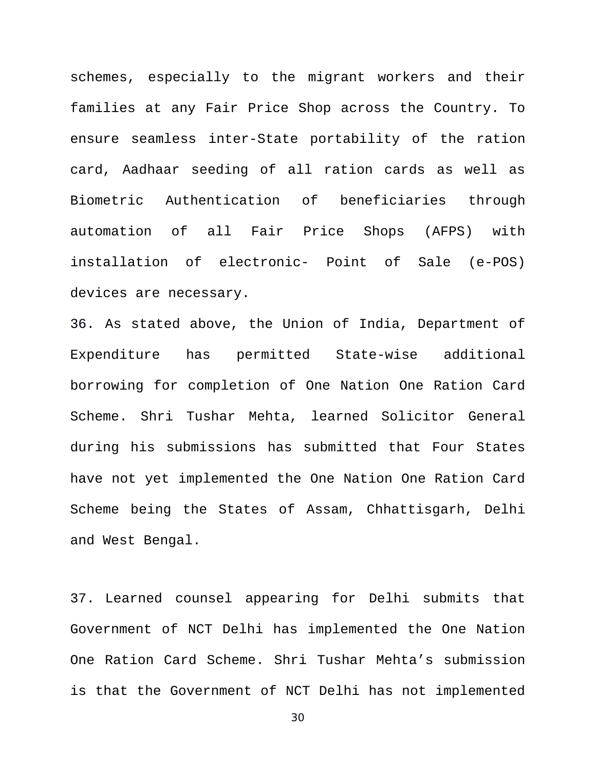schemes, especially to the migrant workers and their families at any Fair Price Shop across the Country. To ensure seamless inter-State portability of the ration card, Aadhaar seeding of all ration cards as well as Biometric Authentication of beneficiaries through automation of all Fair Price Shops (AFPS) with installation of electronic- Point of Sale (e-POS) devices are necessary.

36. As stated above, the Union of India, Department of Expenditure has permitted State-wise additional borrowing for completion of One Nation One Ration Card Scheme. Shri Tushar Mehta, learned Solicitor General during his submissions has submitted that Four States have not yet implemented the One Nation One Ration Card Scheme being the States of Assam, Chhattisgarh, Delhi and West Bengal.

37. Learned counsel appearing for Delhi submits that Government of NCT Delhi has implemented the One Nation One Ration Card Scheme. Shri Tushar Mehta's submission is that the Government of NCT Delhi has not implemented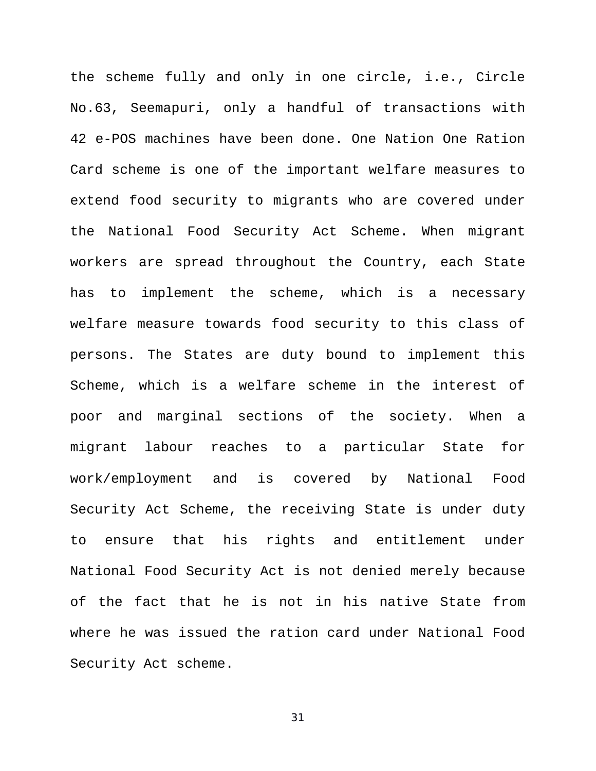the scheme fully and only in one circle, i.e., Circle No.63, Seemapuri, only a handful of transactions with 42 e-POS machines have been done. One Nation One Ration Card scheme is one of the important welfare measures to extend food security to migrants who are covered under the National Food Security Act Scheme. When migrant workers are spread throughout the Country, each State has to implement the scheme, which is a necessary welfare measure towards food security to this class of persons. The States are duty bound to implement this Scheme, which is a welfare scheme in the interest of poor and marginal sections of the society. When a migrant labour reaches to a particular State for work/employment and is covered by National Food Security Act Scheme, the receiving State is under duty to ensure that his rights and entitlement under National Food Security Act is not denied merely because of the fact that he is not in his native State from where he was issued the ration card under National Food Security Act scheme.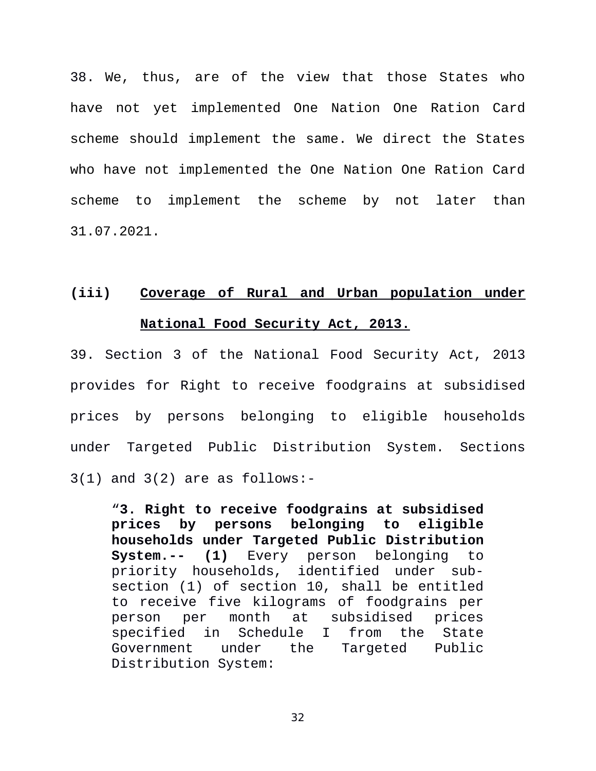38. We, thus, are of the view that those States who have not yet implemented One Nation One Ration Card scheme should implement the same. We direct the States who have not implemented the One Nation One Ration Card scheme to implement the scheme by not later than 31.07.2021.

# **(iii) Coverage of Rural and Urban population under National Food Security Act, 2013.**

39. Section 3 of the National Food Security Act, 2013 provides for Right to receive foodgrains at subsidised prices by persons belonging to eligible households under Targeted Public Distribution System. Sections 3(1) and 3(2) are as follows:-

"**3. Right to receive foodgrains at subsidised prices by persons belonging to eligible households under Targeted Public Distribution System.-- (1)** Every person belonging to priority households, identified under subsection (1) of section 10, shall be entitled to receive five kilograms of foodgrains per person per month at subsidised prices specified in Schedule I from the State Government under the Targeted Public Distribution System: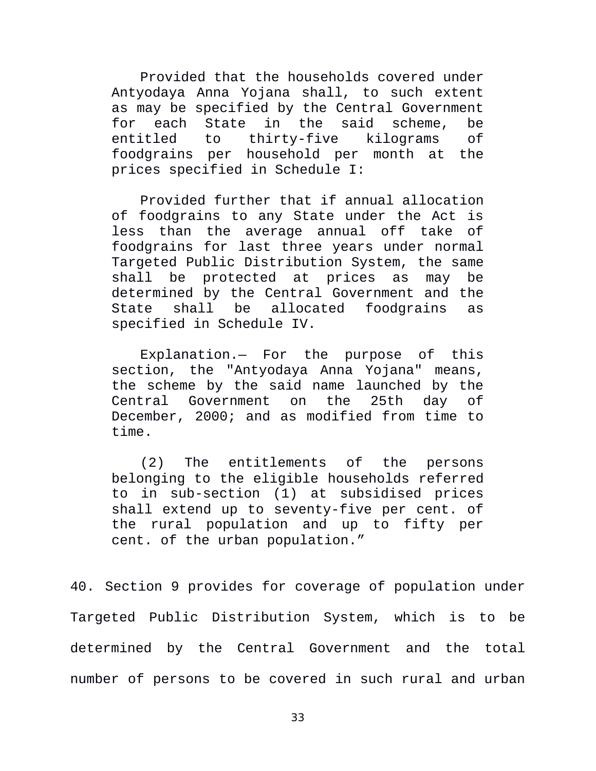Provided that the households covered under Antyodaya Anna Yojana shall, to such extent as may be specified by the Central Government for each State in the said scheme, be entitled to thirty-five kilograms of foodgrains per household per month at the prices specified in Schedule I:

Provided further that if annual allocation of foodgrains to any State under the Act is less than the average annual off take of foodgrains for last three years under normal Targeted Public Distribution System, the same shall be protected at prices as may be determined by the Central Government and the State shall be allocated foodgrains as specified in Schedule IV.

Explanation.— For the purpose of this section, the "Antyodaya Anna Yojana" means, the scheme by the said name launched by the Central Government on the 25th day of December, 2000; and as modified from time to time.

(2) The entitlements of the persons belonging to the eligible households referred to in sub-section (1) at subsidised prices shall extend up to seventy-five per cent. of the rural population and up to fifty per cent. of the urban population."

40. Section 9 provides for coverage of population under Targeted Public Distribution System, which is to be determined by the Central Government and the total number of persons to be covered in such rural and urban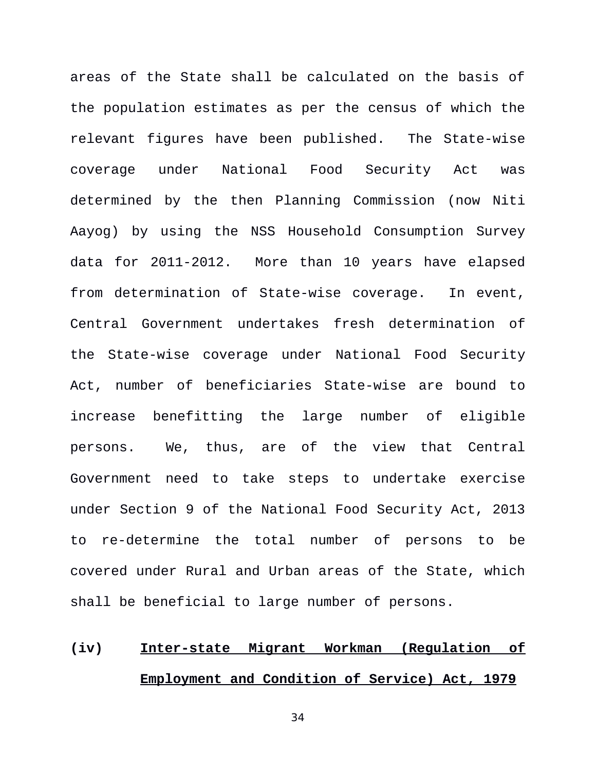areas of the State shall be calculated on the basis of the population estimates as per the census of which the relevant figures have been published. The State-wise coverage under National Food Security Act was determined by the then Planning Commission (now Niti Aayog) by using the NSS Household Consumption Survey data for 2011-2012. More than 10 years have elapsed from determination of State-wise coverage. In event, Central Government undertakes fresh determination of the State-wise coverage under National Food Security Act, number of beneficiaries State-wise are bound to increase benefitting the large number of eligible persons. We, thus, are of the view that Central Government need to take steps to undertake exercise under Section 9 of the National Food Security Act, 2013 to re-determine the total number of persons to be covered under Rural and Urban areas of the State, which shall be beneficial to large number of persons.

# **(iv) Inter-state Migrant Workman (Regulation of Employment and Condition of Service) Act, 1979**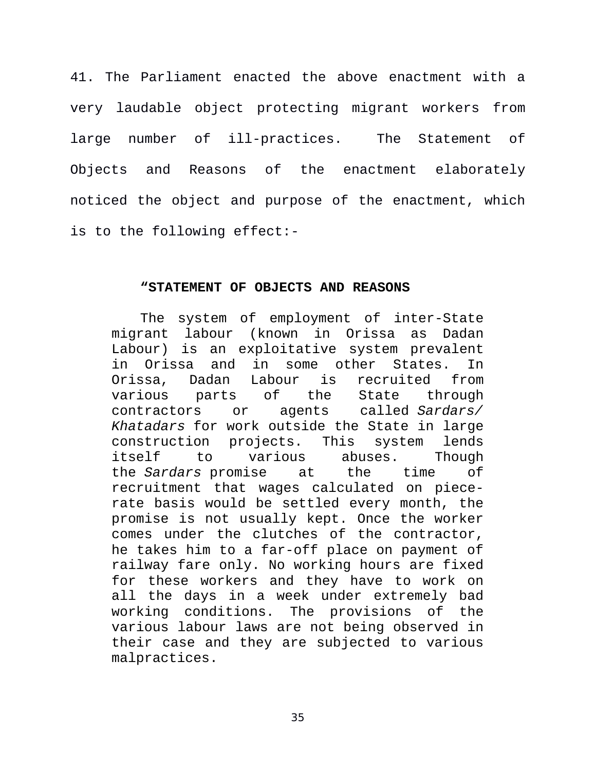41. The Parliament enacted the above enactment with a very laudable object protecting migrant workers from large number of ill-practices. The Statement of Objects and Reasons of the enactment elaborately noticed the object and purpose of the enactment, which is to the following effect:-

#### **"STATEMENT OF OBJECTS AND REASONS**

The system of employment of inter-State migrant labour (known in Orissa as Dadan Labour) is an exploitative system prevalent in Orissa and in some other States. In Orissa, Dadan Labour is recruited from various parts of the State through contractors or agents called *Sardars/ Khatadars* for work outside the State in large construction projects. This system lends itself to various abuses. Though the *Sardars* promise at the time of recruitment that wages calculated on piecerate basis would be settled every month, the promise is not usually kept. Once the worker comes under the clutches of the contractor, he takes him to a far-off place on payment of railway fare only. No working hours are fixed for these workers and they have to work on all the days in a week under extremely bad working conditions. The provisions of the various labour laws are not being observed in their case and they are subjected to various malpractices.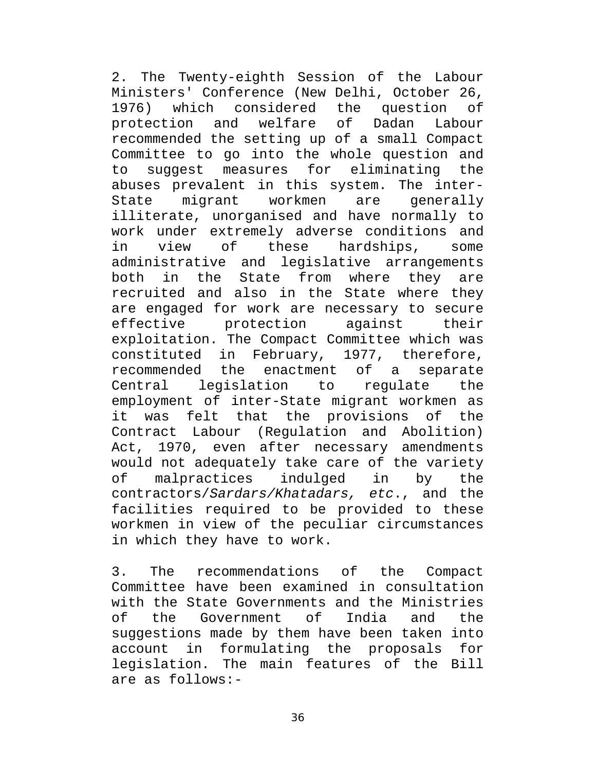2. The Twenty-eighth Session of the Labour Ministers' Conference (New Delhi, October 26, 1976) which considered the question of protection and welfare of Dadan Labour recommended the setting up of a small Compact Committee to go into the whole question and to suggest measures for eliminating the abuses prevalent in this system. The inter-State migrant workmen are generally illiterate, unorganised and have normally to work under extremely adverse conditions and in view of these hardships, some administrative and legislative arrangements both in the State from where they are recruited and also in the State where they are engaged for work are necessary to secure<br>effective protection against their effective protection exploitation. The Compact Committee which was constituted in February, 1977, therefore, recommended the enactment of a separate Central legislation to regulate the employment of inter-State migrant workmen as it was felt that the provisions of the Contract Labour (Regulation and Abolition) Act, 1970, even after necessary amendments would not adequately take care of the variety of malpractices indulged in by the contractors/*Sardars/Khatadars, etc*., and the facilities required to be provided to these workmen in view of the peculiar circumstances in which they have to work.

3. The recommendations of the Compact Committee have been examined in consultation with the State Governments and the Ministries<br>of the Government of India and the of the Government of India and the suggestions made by them have been taken into account in formulating the proposals for legislation. The main features of the Bill are as follows:-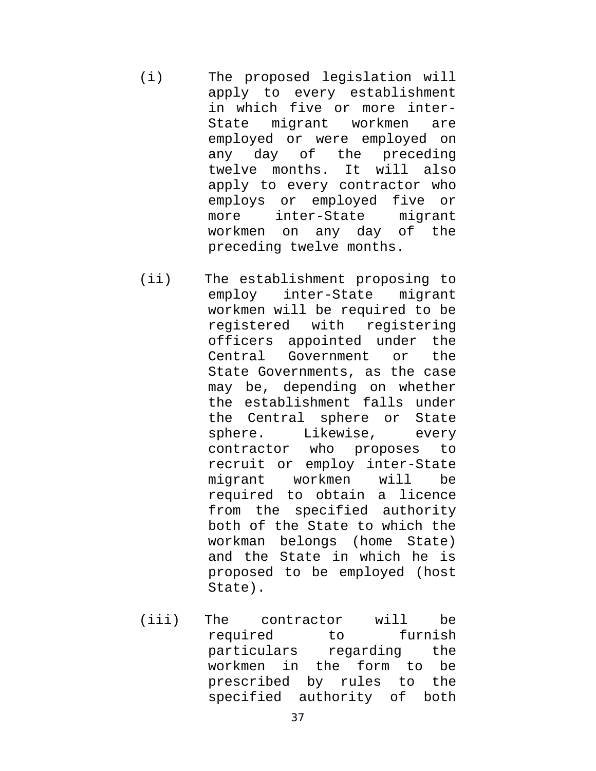- (i) The proposed legislation will apply to every establishment in which five or more inter-State migrant workmen are employed or were employed on any day of the preceding twelve months. It will also apply to every contractor who employs or employed five or more inter-State migrant workmen on any day of the preceding twelve months.
- (ii) The establishment proposing to employ inter-State migrant workmen will be required to be registered with registering officers appointed under the Central Government or the State Governments, as the case may be, depending on whether the establishment falls under the Central sphere or State sphere. Likewise, every contractor who proposes to recruit or employ inter-State migrant workmen will be required to obtain a licence from the specified authority both of the State to which the workman belongs (home State) and the State in which he is proposed to be employed (host State).
- (iii) The contractor will be required to furnish particulars regarding the workmen in the form to be prescribed by rules to the specified authority of both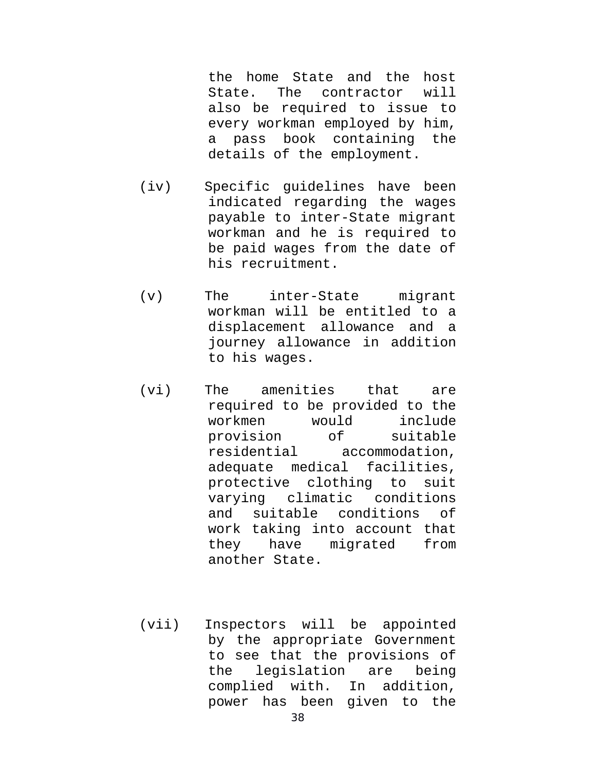the home State and the host State. The contractor will also be required to issue to every workman employed by him, a pass book containing the details of the employment.

- (iv) Specific guidelines have been indicated regarding the wages payable to inter-State migrant workman and he is required to be paid wages from the date of his recruitment.
- (v) The inter-State migrant workman will be entitled to a displacement allowance and a journey allowance in addition to his wages.
- (vi) The amenities that are required to be provided to the workmen would include provision of suitable residential accommodation, adequate medical facilities, protective clothing to suit varying climatic conditions and suitable conditions of work taking into account that they have migrated from another State.
- (vii) Inspectors will be appointed by the appropriate Government to see that the provisions of the legislation are being complied with. In addition, power has been given to the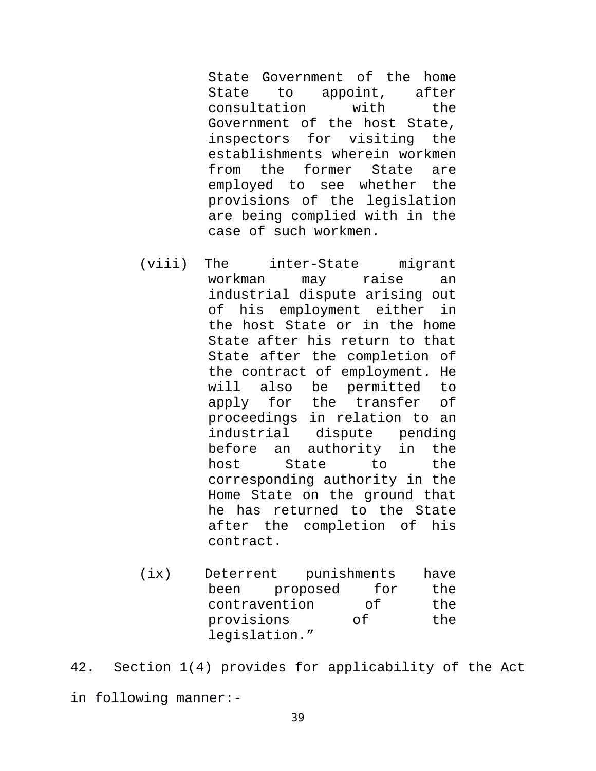State Government of the home State to appoint, after consultation with the Government of the host State, inspectors for visiting the establishments wherein workmen from the former State are employed to see whether the provisions of the legislation are being complied with in the case of such workmen.

- (viii) The inter-State migrant workman may raise an industrial dispute arising out of his employment either in the host State or in the home State after his return to that State after the completion of the contract of employment. He will also be permitted to apply for the transfer of proceedings in relation to an industrial dispute pending before an authority in the host State to the corresponding authority in the Home State on the ground that he has returned to the State after the completion of his contract.
- (ix) Deterrent punishments have been proposed for the contravention of the provisions of the legislation."
- 42. Section 1(4) provides for applicability of the Act in following manner:-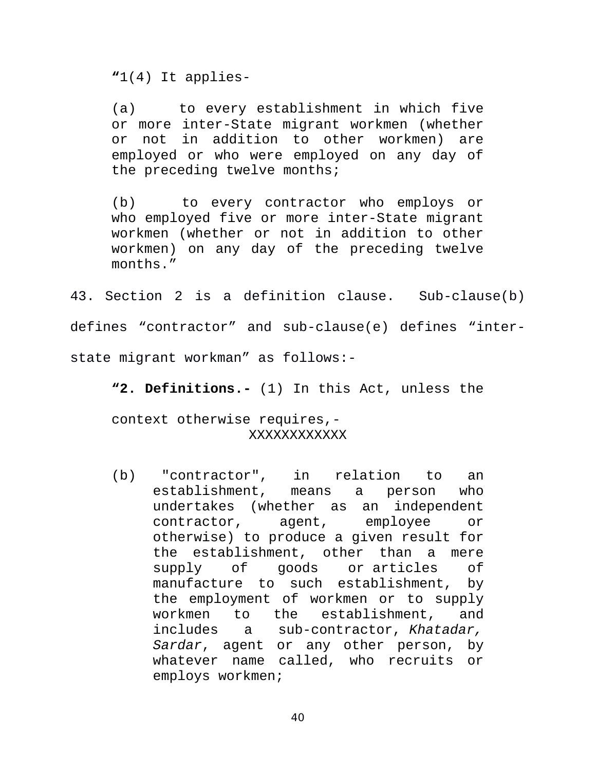**"**1(4) It applies-

(a) to every establishment in which five or more inter-State migrant workmen (whether or not in addition to other workmen) are employed or who were employed on any day of the preceding twelve months;

(b) to every contractor who employs or who employed five or more inter-State migrant workmen (whether or not in addition to other workmen) on any day of the preceding twelve months."

43. Section 2 is a definition clause. Sub-clause(b) defines "contractor" and sub-clause(e) defines "interstate migrant workman" as follows:-

**"2. Definitions.-** (1) In this Act, unless the

context otherwise requires,- XXXXXXXXXXXX

(b) "contractor", in relation to an establishment, means a person who undertakes (whether as an independent contractor, agent, employee or otherwise) to produce a given result for the establishment, other than a mere supply of goods or articles of manufacture to such establishment, by the employment of workmen or to supply workmen to the establishment, and includes a sub-contractor, *Khatadar, Sardar*, agent or any other person, by whatever name called, who recruits or employs workmen;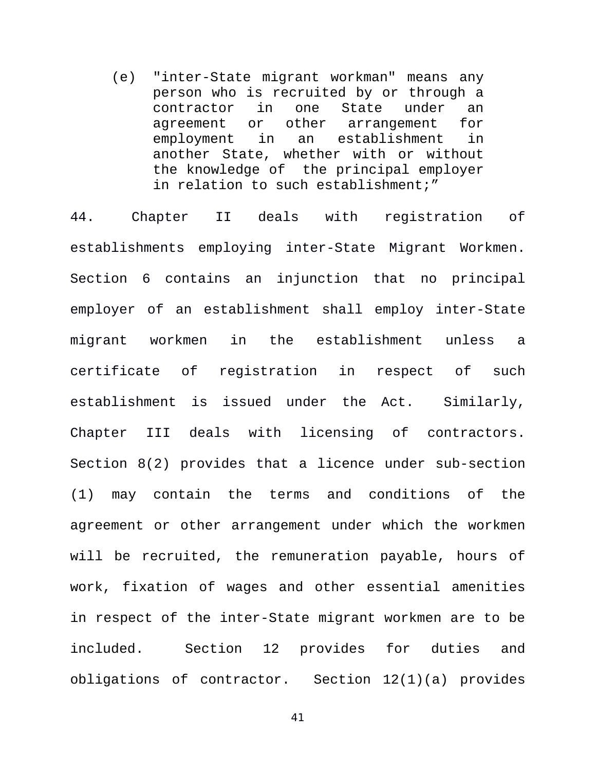(e) "inter-State migrant workman" means any person who is recruited by or through a contractor in one State under an agreement or other arrangement for employment in an establishment in another State, whether with or without the knowledge of the principal employer in relation to such establishment;"

44. Chapter II deals with registration of establishments employing inter-State Migrant Workmen. Section 6 contains an injunction that no principal employer of an establishment shall employ inter-State migrant workmen in the establishment unless a certificate of registration in respect of such establishment is issued under the Act. Similarly, Chapter III deals with licensing of contractors. Section 8(2) provides that a licence under sub-section (1) may contain the terms and conditions of the agreement or other arrangement under which the workmen will be recruited, the remuneration payable, hours of work, fixation of wages and other essential amenities in respect of the inter-State migrant workmen are to be included. Section 12 provides for duties and obligations of contractor. Section 12(1)(a) provides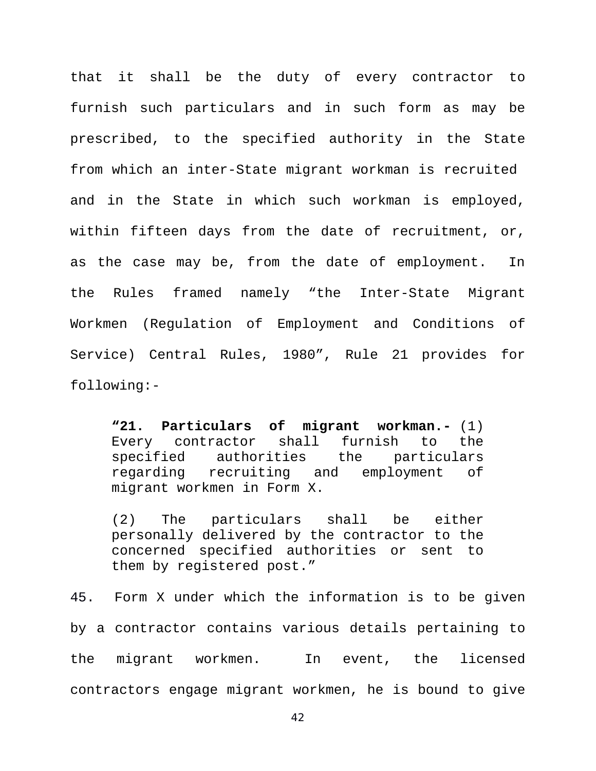that it shall be the duty of every contractor to furnish such particulars and in such form as may be prescribed, to the specified authority in the State from which an inter-State migrant workman is recruited and in the State in which such workman is employed, within fifteen days from the date of recruitment, or, as the case may be, from the date of employment. In the Rules framed namely "the Inter-State Migrant Workmen (Regulation of Employment and Conditions of Service) Central Rules, 1980", Rule 21 provides for following:-

**"21. Particulars of migrant workman.-** (1) Every contractor shall furnish to the specified authorities the particulars regarding recruiting and employment of migrant workmen in Form X.

(2) The particulars shall be either personally delivered by the contractor to the concerned specified authorities or sent to them by registered post."

45. Form X under which the information is to be given by a contractor contains various details pertaining to the migrant workmen. In event, the licensed contractors engage migrant workmen, he is bound to give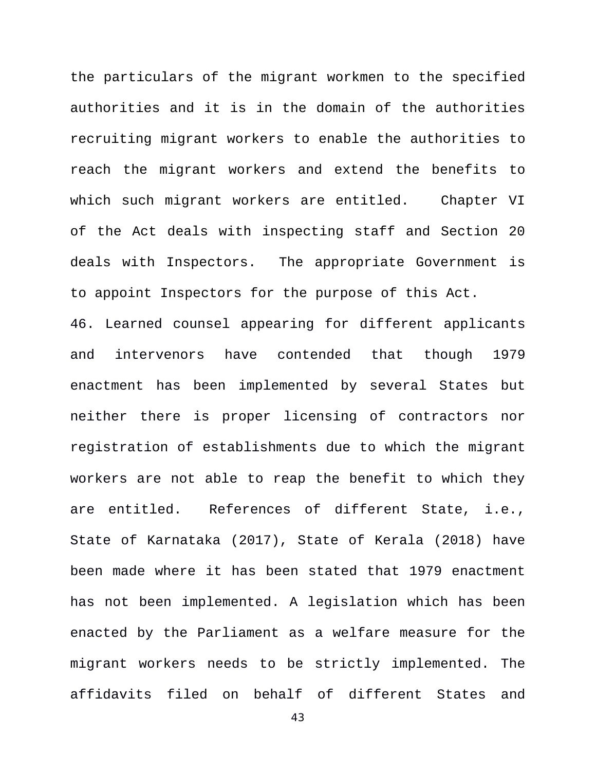the particulars of the migrant workmen to the specified authorities and it is in the domain of the authorities recruiting migrant workers to enable the authorities to reach the migrant workers and extend the benefits to which such migrant workers are entitled. Chapter VI of the Act deals with inspecting staff and Section 20 deals with Inspectors. The appropriate Government is to appoint Inspectors for the purpose of this Act.

46. Learned counsel appearing for different applicants and intervenors have contended that though 1979 enactment has been implemented by several States but neither there is proper licensing of contractors nor registration of establishments due to which the migrant workers are not able to reap the benefit to which they are entitled. References of different State, i.e., State of Karnataka (2017), State of Kerala (2018) have been made where it has been stated that 1979 enactment has not been implemented. A legislation which has been enacted by the Parliament as a welfare measure for the migrant workers needs to be strictly implemented. The affidavits filed on behalf of different States and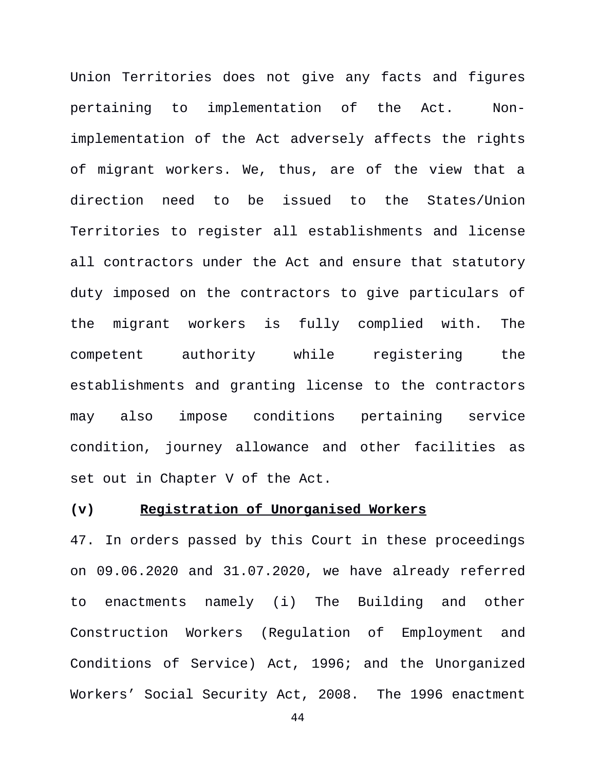Union Territories does not give any facts and figures pertaining to implementation of the Act. Nonimplementation of the Act adversely affects the rights of migrant workers. We, thus, are of the view that a direction need to be issued to the States/Union Territories to register all establishments and license all contractors under the Act and ensure that statutory duty imposed on the contractors to give particulars of the migrant workers is fully complied with. The competent authority while registering the establishments and granting license to the contractors may also impose conditions pertaining service condition, journey allowance and other facilities as set out in Chapter V of the Act.

### **(v) Registration of Unorganised Workers**

47. In orders passed by this Court in these proceedings on 09.06.2020 and 31.07.2020, we have already referred to enactments namely (i) The Building and other Construction Workers (Regulation of Employment and Conditions of Service) Act, 1996; and the Unorganized Workers' Social Security Act, 2008. The 1996 enactment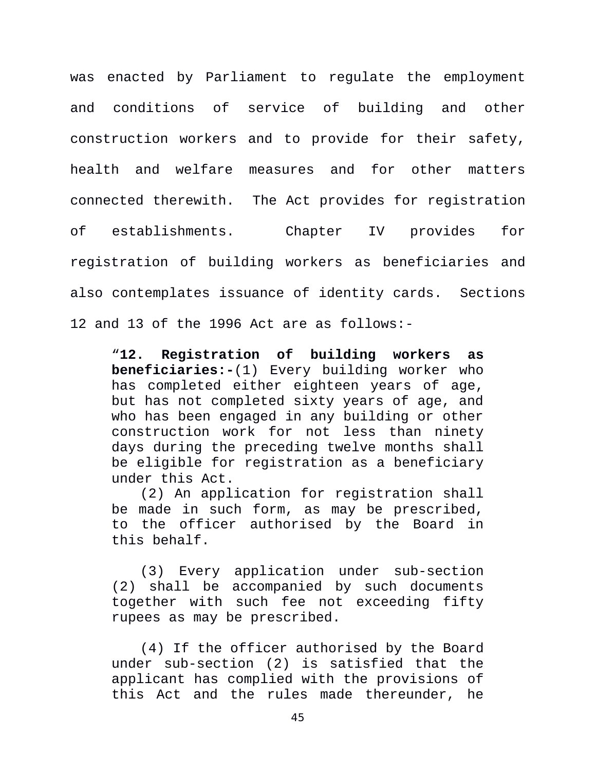was enacted by Parliament to regulate the employment and conditions of service of building and other construction workers and to provide for their safety, health and welfare measures and for other matters connected therewith. The Act provides for registration of establishments. Chapter IV provides for registration of building workers as beneficiaries and also contemplates issuance of identity cards. Sections 12 and 13 of the 1996 Act are as follows:-

"**12. Registration of building workers as beneficiaries:-**(1) Every building worker who has completed either eighteen years of age, but has not completed sixty years of age, and who has been engaged in any building or other construction work for not less than ninety days during the preceding twelve months shall be eligible for registration as a beneficiary under this Act.

(2) An application for registration shall be made in such form, as may be prescribed, to the officer authorised by the Board in this behalf.

(3) Every application under sub-section (2) shall be accompanied by such documents together with such fee not exceeding fifty rupees as may be prescribed.

(4) If the officer authorised by the Board under sub-section (2) is satisfied that the applicant has complied with the provisions of this Act and the rules made thereunder, he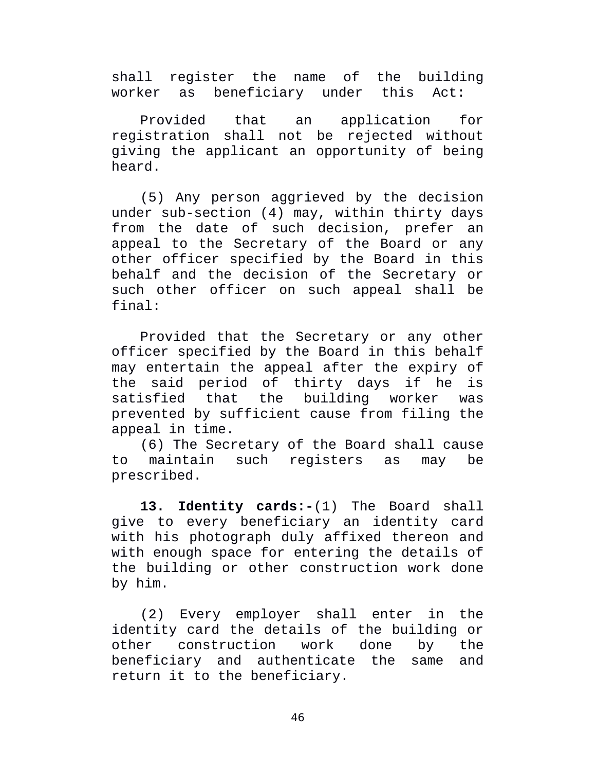shall register the name of the building worker as beneficiary under this Act:

Provided that an application for registration shall not be rejected without giving the applicant an opportunity of being heard.

(5) Any person aggrieved by the decision under sub-section (4) may, within thirty days from the date of such decision, prefer an appeal to the Secretary of the Board or any other officer specified by the Board in this behalf and the decision of the Secretary or such other officer on such appeal shall be final:

Provided that the Secretary or any other officer specified by the Board in this behalf may entertain the appeal after the expiry of the said period of thirty days if he is satisfied that the building worker was prevented by sufficient cause from filing the appeal in time.

(6) The Secretary of the Board shall cause to maintain such registers as may be prescribed.

**13. Identity cards:-**(1) The Board shall give to every beneficiary an identity card with his photograph duly affixed thereon and with enough space for entering the details of the building or other construction work done by him.

(2) Every employer shall enter in the identity card the details of the building or other construction work done by the beneficiary and authenticate the same and return it to the beneficiary.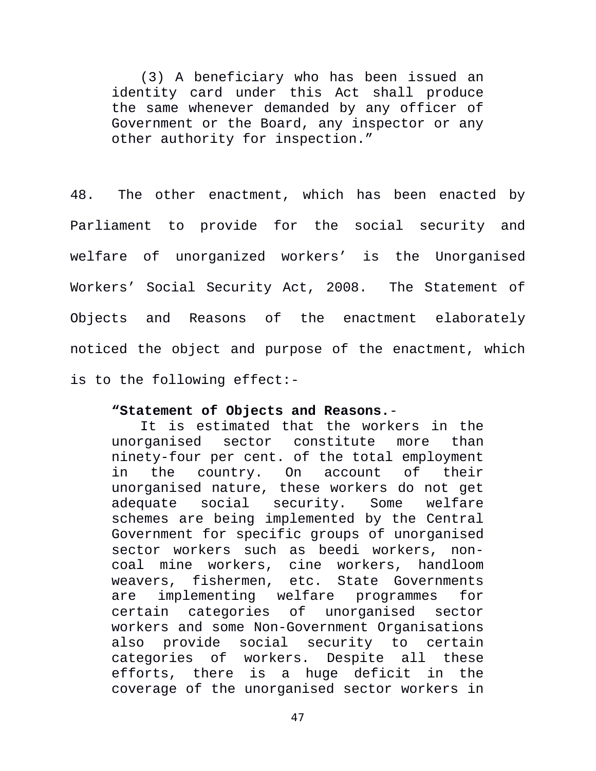(3) A beneficiary who has been issued an identity card under this Act shall produce the same whenever demanded by any officer of Government or the Board, any inspector or any other authority for inspection."

48. The other enactment, which has been enacted by Parliament to provide for the social security and welfare of unorganized workers' is the Unorganised Workers' Social Security Act, 2008. The Statement of Objects and Reasons of the enactment elaborately noticed the object and purpose of the enactment, which is to the following effect:-

# **"Statement of Objects and Reasons.**-

It is estimated that the workers in the unorganised sector constitute more than ninety-four per cent. of the total employment in the country. On account of their unorganised nature, these workers do not get adequate social security. Some welfare schemes are being implemented by the Central Government for specific groups of unorganised sector workers such as beedi workers, noncoal mine workers, cine workers, handloom weavers, fishermen, etc. State Governments are implementing welfare programmes for certain categories of unorganised sector workers and some Non-Government Organisations also provide social security to certain categories of workers. Despite all these efforts, there is a huge deficit in the coverage of the unorganised sector workers in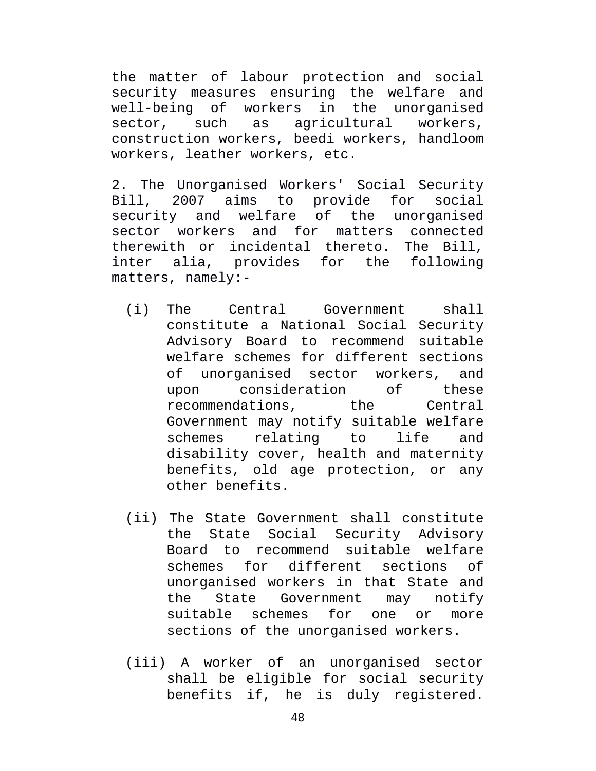the matter of labour protection and social security measures ensuring the welfare and well-being of workers in the unorganised sector, such as agricultural workers, construction workers, beedi workers, handloom workers, leather workers, etc.

2. The Unorganised Workers' Social Security Bill, 2007 aims to provide for social security and welfare of the unorganised sector workers and for matters connected therewith or incidental thereto. The Bill, inter alia, provides for the following matters, namely:-

- (i) The Central Government shall constitute a National Social Security Advisory Board to recommend suitable welfare schemes for different sections of unorganised sector workers, and upon consideration of these recommendations, the Central Government may notify suitable welfare schemes relating to life and disability cover, health and maternity benefits, old age protection, or any other benefits.
- (ii) The State Government shall constitute the State Social Security Advisory Board to recommend suitable welfare schemes for different sections of unorganised workers in that State and the State Government may notify suitable schemes for one or more sections of the unorganised workers.
- (iii) A worker of an unorganised sector shall be eligible for social security benefits if, he is duly registered.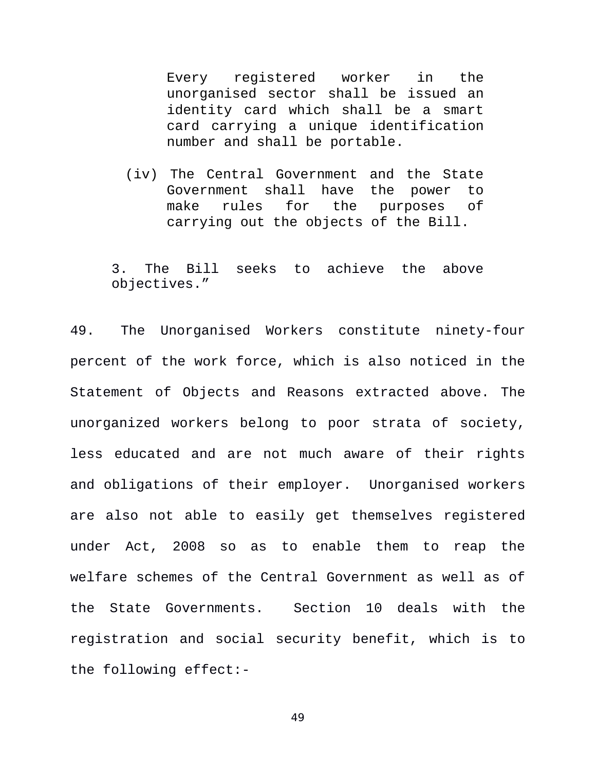Every registered worker in the unorganised sector shall be issued an identity card which shall be a smart card carrying a unique identification number and shall be portable.

(iv) The Central Government and the State Government shall have the power to make rules for the purposes of carrying out the objects of the Bill.

3. The Bill seeks to achieve the above objectives."

49. The Unorganised Workers constitute ninety-four percent of the work force, which is also noticed in the Statement of Objects and Reasons extracted above. The unorganized workers belong to poor strata of society, less educated and are not much aware of their rights and obligations of their employer. Unorganised workers are also not able to easily get themselves registered under Act, 2008 so as to enable them to reap the welfare schemes of the Central Government as well as of the State Governments. Section 10 deals with the registration and social security benefit, which is to the following effect:-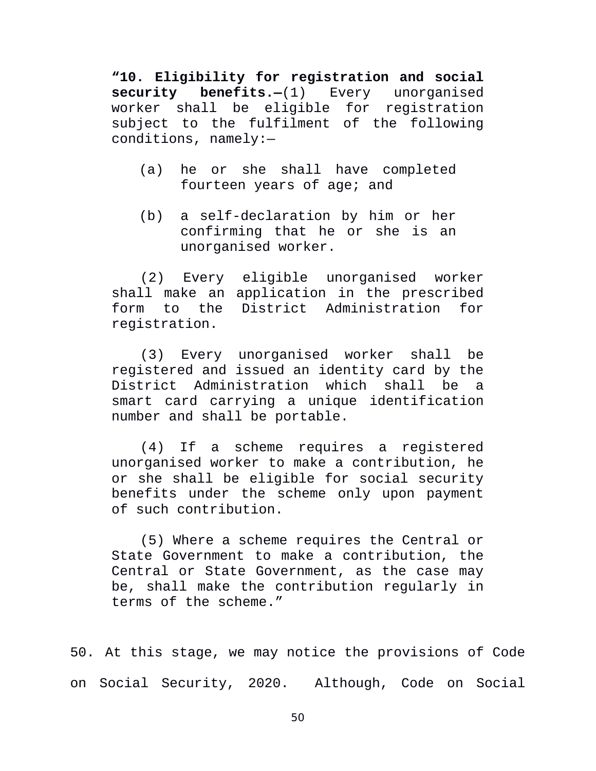**"10. Eligibility for registration and social security benefits.—**(1) Every unorganised worker shall be eligible for registration subject to the fulfilment of the following conditions, namely:—

- (a) he or she shall have completed fourteen years of age; and
- (b) a self-declaration by him or her confirming that he or she is an unorganised worker.

(2) Every eligible unorganised worker shall make an application in the prescribed form to the District Administration for registration.

(3) Every unorganised worker shall be registered and issued an identity card by the District Administration which shall be a smart card carrying a unique identification number and shall be portable.

(4) If a scheme requires a registered unorganised worker to make a contribution, he or she shall be eligible for social security benefits under the scheme only upon payment of such contribution.

(5) Where a scheme requires the Central or State Government to make a contribution, the Central or State Government, as the case may be, shall make the contribution regularly in terms of the scheme."

50. At this stage, we may notice the provisions of Code on Social Security, 2020. Although, Code on Social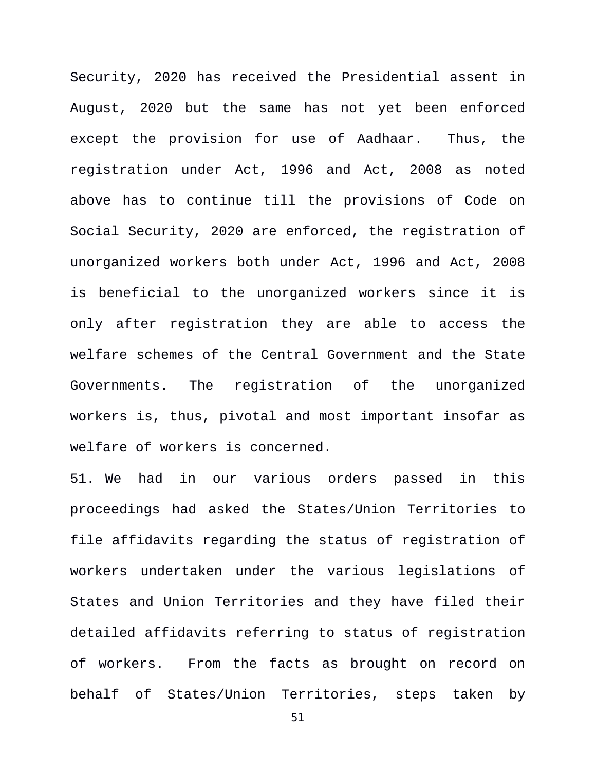Security, 2020 has received the Presidential assent in August, 2020 but the same has not yet been enforced except the provision for use of Aadhaar. Thus, the registration under Act, 1996 and Act, 2008 as noted above has to continue till the provisions of Code on Social Security, 2020 are enforced, the registration of unorganized workers both under Act, 1996 and Act, 2008 is beneficial to the unorganized workers since it is only after registration they are able to access the welfare schemes of the Central Government and the State Governments. The registration of the unorganized workers is, thus, pivotal and most important insofar as welfare of workers is concerned.

51. We had in our various orders passed in this proceedings had asked the States/Union Territories to file affidavits regarding the status of registration of workers undertaken under the various legislations of States and Union Territories and they have filed their detailed affidavits referring to status of registration of workers. From the facts as brought on record on behalf of States/Union Territories, steps taken by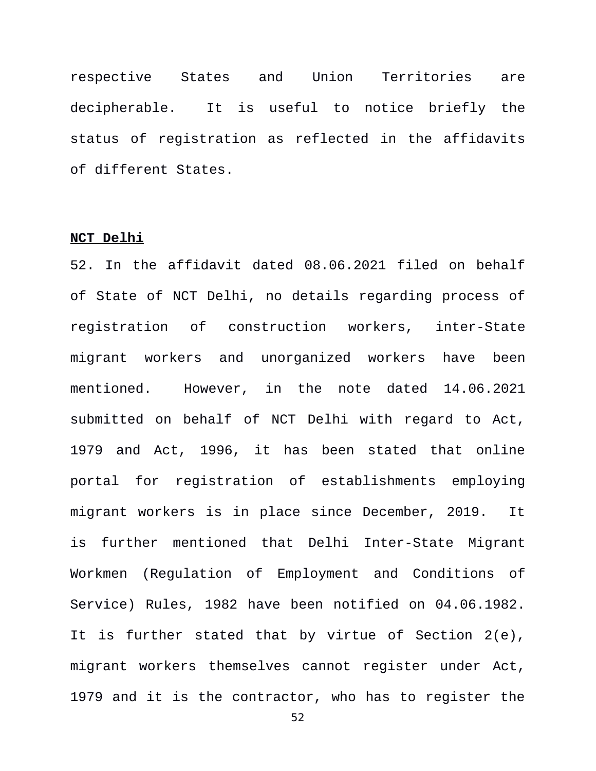respective States and Union Territories are decipherable. It is useful to notice briefly the status of registration as reflected in the affidavits of different States.

#### **NCT Delhi**

52. In the affidavit dated 08.06.2021 filed on behalf of State of NCT Delhi, no details regarding process of registration of construction workers, inter-State migrant workers and unorganized workers have been mentioned. However, in the note dated 14.06.2021 submitted on behalf of NCT Delhi with regard to Act, 1979 and Act, 1996, it has been stated that online portal for registration of establishments employing migrant workers is in place since December, 2019. It is further mentioned that Delhi Inter-State Migrant Workmen (Regulation of Employment and Conditions of Service) Rules, 1982 have been notified on 04.06.1982. It is further stated that by virtue of Section 2(e), migrant workers themselves cannot register under Act, 1979 and it is the contractor, who has to register the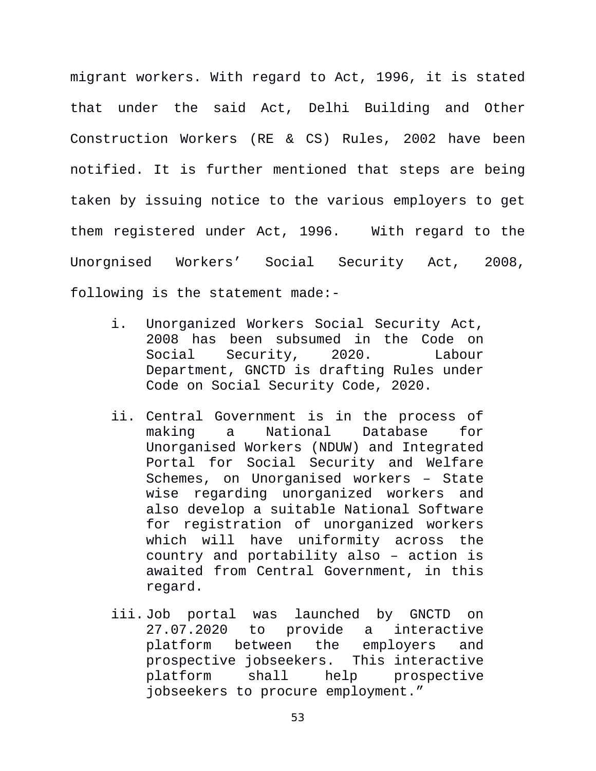migrant workers. With regard to Act, 1996, it is stated that under the said Act, Delhi Building and Other Construction Workers (RE & CS) Rules, 2002 have been notified. It is further mentioned that steps are being taken by issuing notice to the various employers to get them registered under Act, 1996. With regard to the Unorgnised Workers' Social Security Act, 2008, following is the statement made:-

- i. Unorganized Workers Social Security Act, 2008 has been subsumed in the Code on Social Security, 2020. Labour Department, GNCTD is drafting Rules under Code on Social Security Code, 2020.
- ii. Central Government is in the process of making a National Database for Unorganised Workers (NDUW) and Integrated Portal for Social Security and Welfare Schemes, on Unorganised workers – State wise regarding unorganized workers and also develop a suitable National Software for registration of unorganized workers which will have uniformity across the country and portability also – action is awaited from Central Government, in this regard.
- iii. Job portal was launched by GNCTD on 27.07.2020 to provide a interactive platform between the employers and prospective jobseekers. This interactive platform shall help prospective jobseekers to procure employment."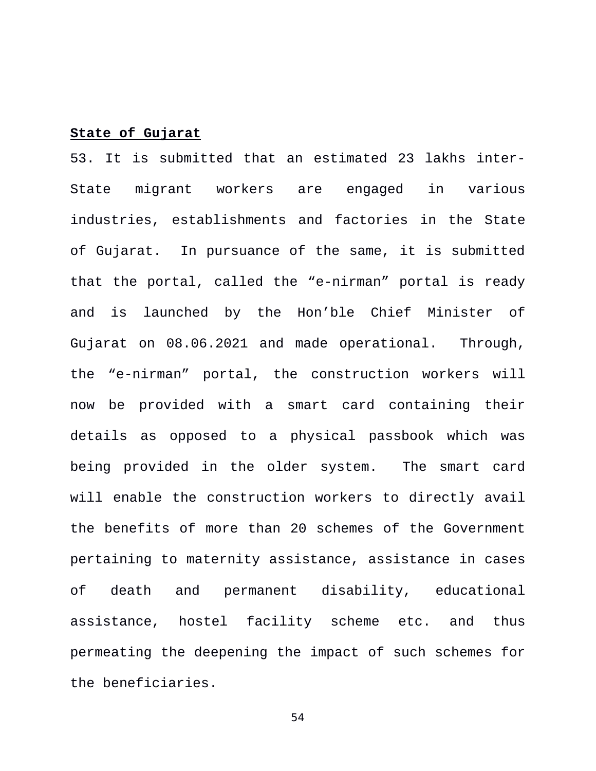## **State of Gujarat**

53. It is submitted that an estimated 23 lakhs inter-State migrant workers are engaged in various industries, establishments and factories in the State of Gujarat. In pursuance of the same, it is submitted that the portal, called the "e-nirman" portal is ready and is launched by the Hon'ble Chief Minister of Gujarat on 08.06.2021 and made operational. Through, the "e-nirman" portal, the construction workers will now be provided with a smart card containing their details as opposed to a physical passbook which was being provided in the older system. The smart card will enable the construction workers to directly avail the benefits of more than 20 schemes of the Government pertaining to maternity assistance, assistance in cases of death and permanent disability, educational assistance, hostel facility scheme etc. and thus permeating the deepening the impact of such schemes for the beneficiaries.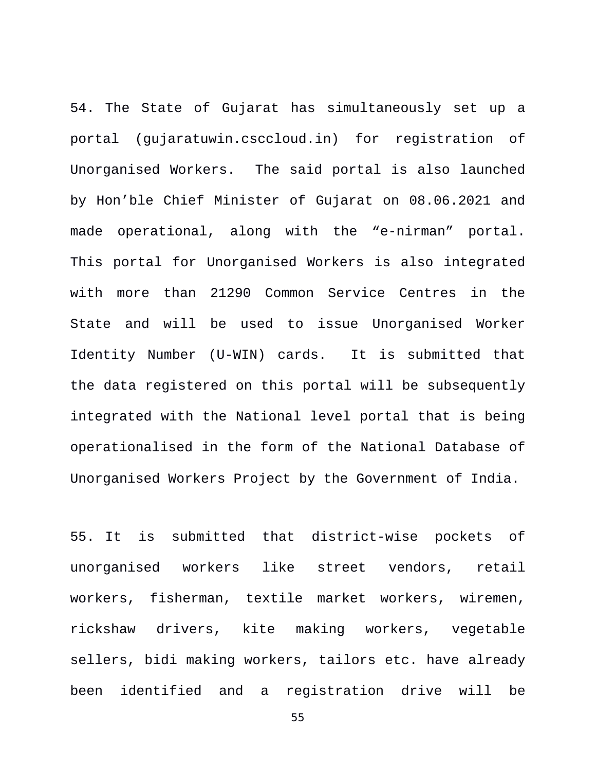54. The State of Gujarat has simultaneously set up a portal (gujaratuwin.csccloud.in) for registration of Unorganised Workers. The said portal is also launched by Hon'ble Chief Minister of Gujarat on 08.06.2021 and made operational, along with the "e-nirman" portal. This portal for Unorganised Workers is also integrated with more than 21290 Common Service Centres in the State and will be used to issue Unorganised Worker Identity Number (U-WIN) cards. It is submitted that the data registered on this portal will be subsequently integrated with the National level portal that is being operationalised in the form of the National Database of Unorganised Workers Project by the Government of India.

55. It is submitted that district-wise pockets of unorganised workers like street vendors, retail workers, fisherman, textile market workers, wiremen, rickshaw drivers, kite making workers, vegetable sellers, bidi making workers, tailors etc. have already been identified and a registration drive will be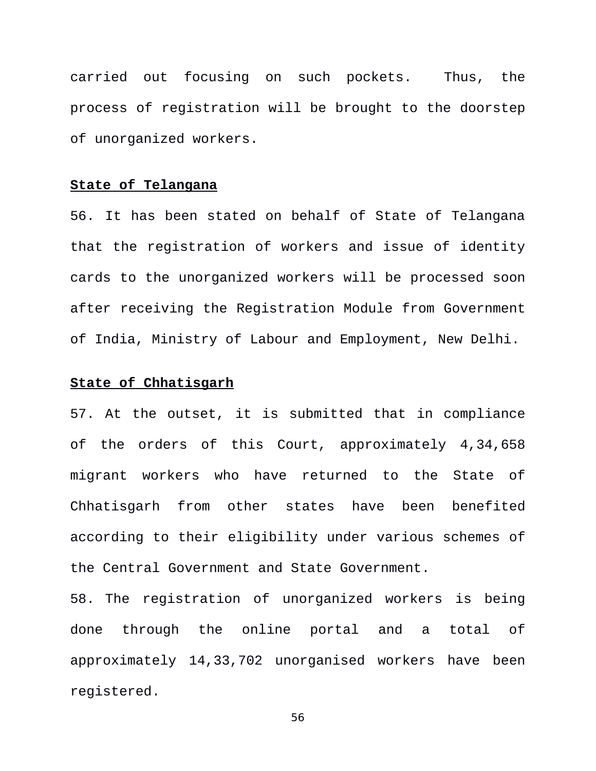carried out focusing on such pockets. Thus, the process of registration will be brought to the doorstep of unorganized workers.

### **State of Telangana**

56. It has been stated on behalf of State of Telangana that the registration of workers and issue of identity cards to the unorganized workers will be processed soon after receiving the Registration Module from Government of India, Ministry of Labour and Employment, New Delhi.

## **State of Chhatisgarh**

57. At the outset, it is submitted that in compliance of the orders of this Court, approximately 4,34,658 migrant workers who have returned to the State of Chhatisgarh from other states have been benefited according to their eligibility under various schemes of the Central Government and State Government.

58. The registration of unorganized workers is being done through the online portal and a total of approximately 14,33,702 unorganised workers have been registered.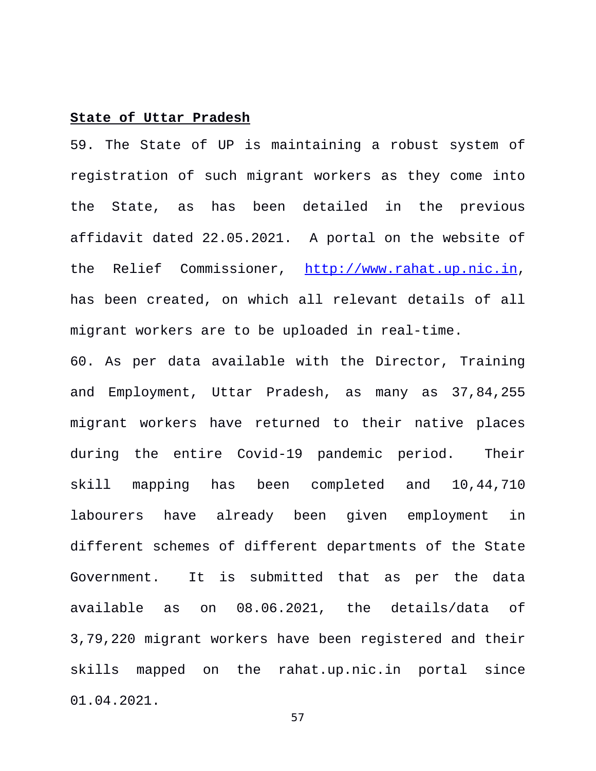#### **State of Uttar Pradesh**

59. The State of UP is maintaining a robust system of registration of such migrant workers as they come into the State, as has been detailed in the previous affidavit dated 22.05.2021. A portal on the website of the Relief Commissioner, [http://www.rahat.up.nic.in,](http://www.rahat.up.nic.in/) has been created, on which all relevant details of all migrant workers are to be uploaded in real-time.

60. As per data available with the Director, Training and Employment, Uttar Pradesh, as many as 37,84,255 migrant workers have returned to their native places during the entire Covid-19 pandemic period. Their skill mapping has been completed and 10,44,710 labourers have already been given employment in different schemes of different departments of the State Government. It is submitted that as per the data available as on 08.06.2021, the details/data of 3,79,220 migrant workers have been registered and their skills mapped on the rahat.up.nic.in portal since 01.04.2021.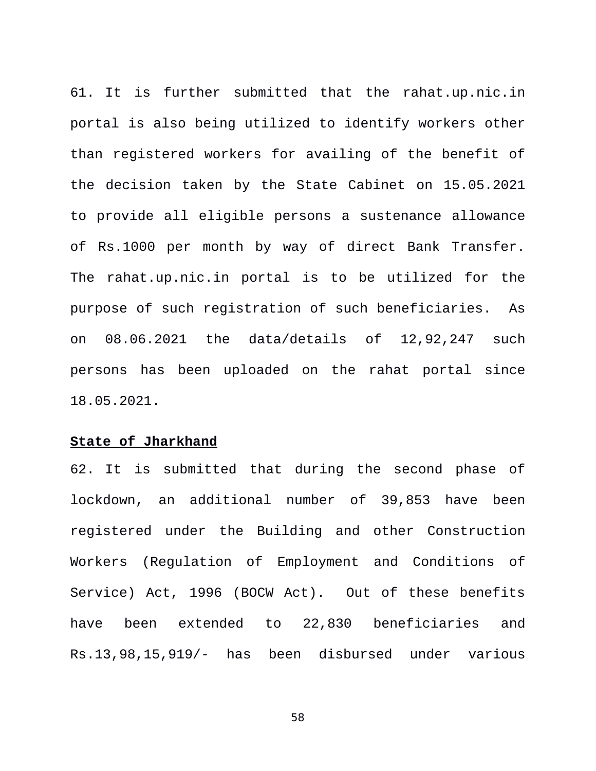61. It is further submitted that the rahat.up.nic.in portal is also being utilized to identify workers other than registered workers for availing of the benefit of the decision taken by the State Cabinet on 15.05.2021 to provide all eligible persons a sustenance allowance of Rs.1000 per month by way of direct Bank Transfer. The rahat.up.nic.in portal is to be utilized for the purpose of such registration of such beneficiaries. As on 08.06.2021 the data/details of 12,92,247 such persons has been uploaded on the rahat portal since 18.05.2021.

#### **State of Jharkhand**

62. It is submitted that during the second phase of lockdown, an additional number of 39,853 have been registered under the Building and other Construction Workers (Regulation of Employment and Conditions of Service) Act, 1996 (BOCW Act). Out of these benefits have been extended to 22,830 beneficiaries and Rs.13,98,15,919/- has been disbursed under various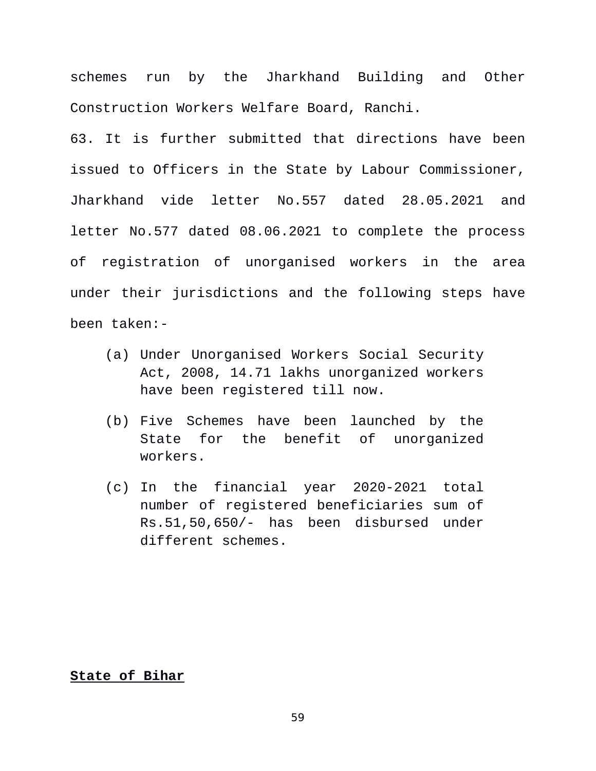schemes run by the Jharkhand Building and Other Construction Workers Welfare Board, Ranchi.

63. It is further submitted that directions have been issued to Officers in the State by Labour Commissioner, Jharkhand vide letter No.557 dated 28.05.2021 and letter No.577 dated 08.06.2021 to complete the process of registration of unorganised workers in the area under their jurisdictions and the following steps have been taken:-

- (a) Under Unorganised Workers Social Security Act, 2008, 14.71 lakhs unorganized workers have been registered till now.
- (b) Five Schemes have been launched by the State for the benefit of unorganized workers.
- (c) In the financial year 2020-2021 total number of registered beneficiaries sum of Rs.51,50,650/- has been disbursed under different schemes.

### **State of Bihar**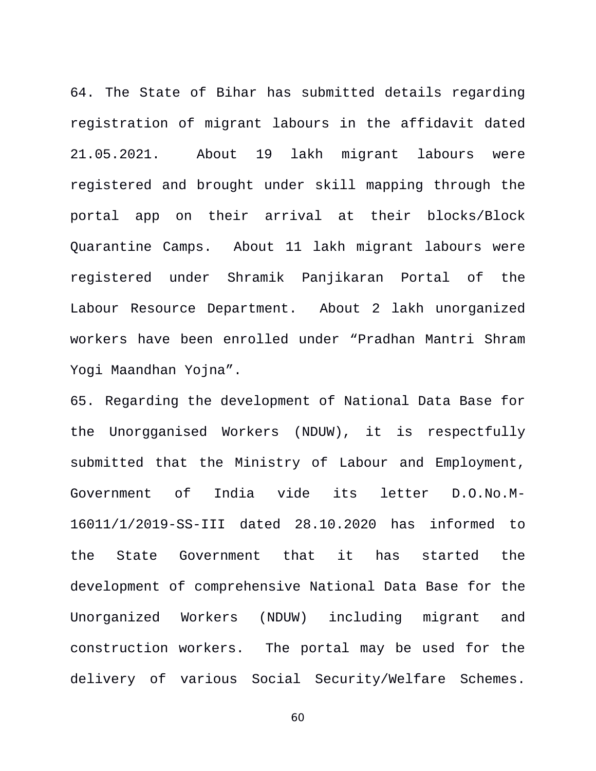64. The State of Bihar has submitted details regarding registration of migrant labours in the affidavit dated 21.05.2021. About 19 lakh migrant labours were registered and brought under skill mapping through the portal app on their arrival at their blocks/Block Quarantine Camps. About 11 lakh migrant labours were registered under Shramik Panjikaran Portal of the Labour Resource Department. About 2 lakh unorganized workers have been enrolled under "Pradhan Mantri Shram Yogi Maandhan Yojna".

65. Regarding the development of National Data Base for the Unorgganised Workers (NDUW), it is respectfully submitted that the Ministry of Labour and Employment, Government of India vide its letter D.O.No.M-16011/1/2019-SS-III dated 28.10.2020 has informed to the State Government that it has started the development of comprehensive National Data Base for the Unorganized Workers (NDUW) including migrant and construction workers. The portal may be used for the delivery of various Social Security/Welfare Schemes.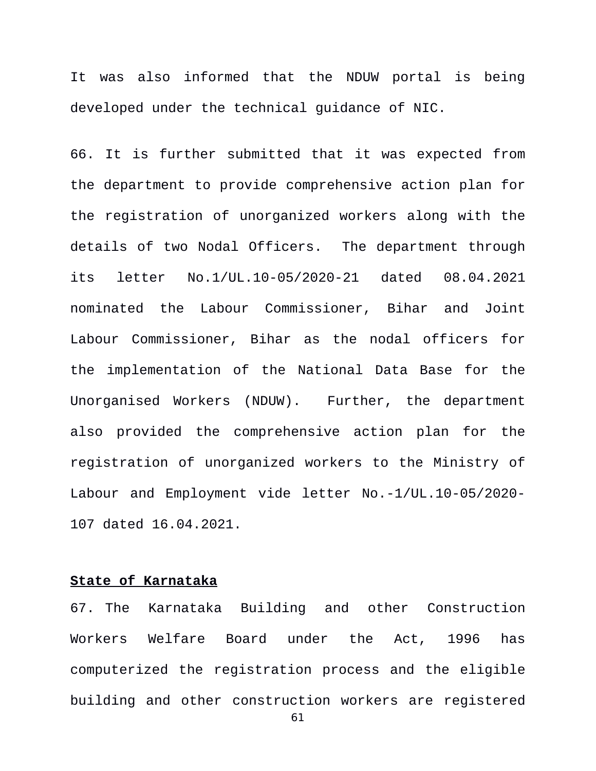It was also informed that the NDUW portal is being developed under the technical guidance of NIC.

66. It is further submitted that it was expected from the department to provide comprehensive action plan for the registration of unorganized workers along with the details of two Nodal Officers. The department through its letter No.1/UL.10-05/2020-21 dated 08.04.2021 nominated the Labour Commissioner, Bihar and Joint Labour Commissioner, Bihar as the nodal officers for the implementation of the National Data Base for the Unorganised Workers (NDUW). Further, the department also provided the comprehensive action plan for the registration of unorganized workers to the Ministry of Labour and Employment vide letter No.-1/UL.10-05/2020- 107 dated 16.04.2021.

#### **State of Karnataka**

67. The Karnataka Building and other Construction Workers Welfare Board under the Act, 1996 has computerized the registration process and the eligible building and other construction workers are registered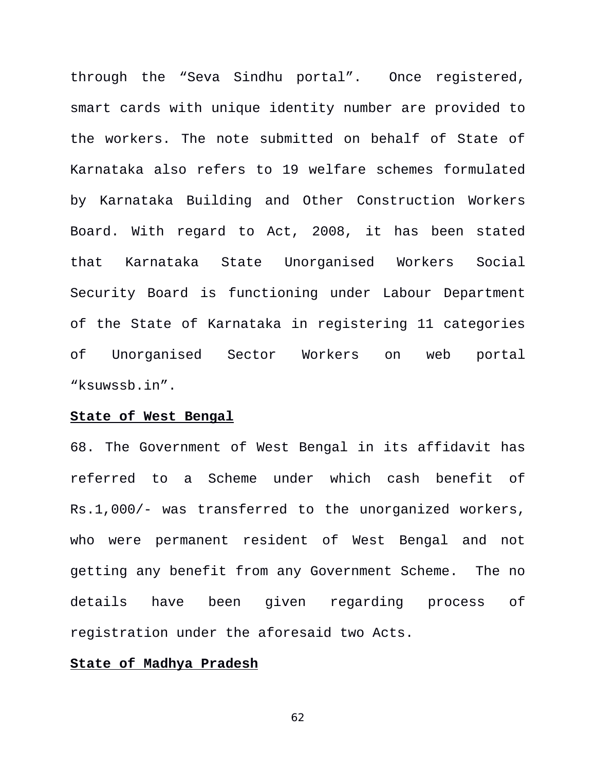through the "Seva Sindhu portal". Once registered, smart cards with unique identity number are provided to the workers. The note submitted on behalf of State of Karnataka also refers to 19 welfare schemes formulated by Karnataka Building and Other Construction Workers Board. With regard to Act, 2008, it has been stated that Karnataka State Unorganised Workers Social Security Board is functioning under Labour Department of the State of Karnataka in registering 11 categories of Unorganised Sector Workers on web portal "ksuwssb.in".

#### **State of West Bengal**

68. The Government of West Bengal in its affidavit has referred to a Scheme under which cash benefit of Rs.1,000/- was transferred to the unorganized workers, who were permanent resident of West Bengal and not getting any benefit from any Government Scheme. The no details have been given regarding process of registration under the aforesaid two Acts.

### **State of Madhya Pradesh**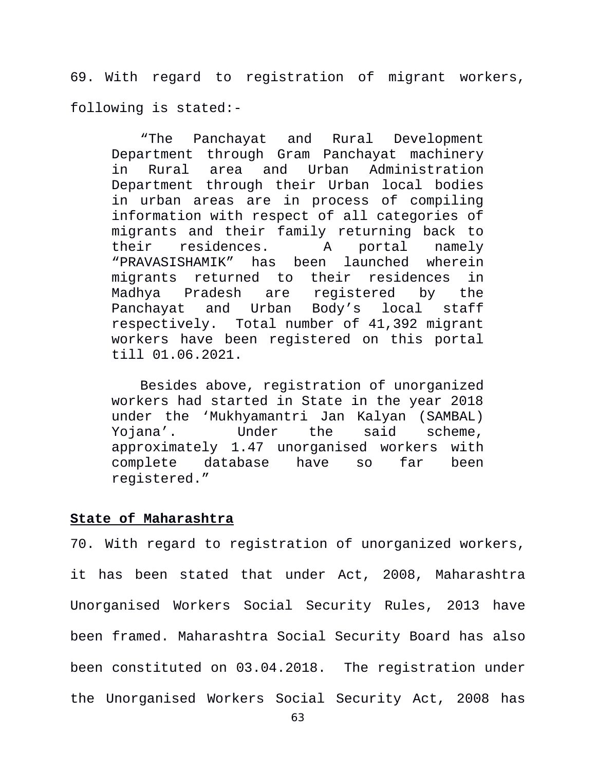69. With regard to registration of migrant workers, following is stated:-

"The Panchayat and Rural Development Department through Gram Panchayat machinery in Rural area and Urban Administration Department through their Urban local bodies in urban areas are in process of compiling information with respect of all categories of migrants and their family returning back to their residences. A portal namely "PRAVASISHAMIK" has been launched wherein migrants returned to their residences in Madhya Pradesh are registered by the Panchayat and Urban Body's local staff respectively. Total number of 41,392 migrant workers have been registered on this portal till 01.06.2021.

Besides above, registration of unorganized workers had started in State in the year 2018 under the 'Mukhyamantri Jan Kalyan (SAMBAL) Yojana'. Under the said scheme, approximately 1.47 unorganised workers with complete database have so far been registered."

#### **State of Maharashtra**

70. With regard to registration of unorganized workers, it has been stated that under Act, 2008, Maharashtra Unorganised Workers Social Security Rules, 2013 have been framed. Maharashtra Social Security Board has also been constituted on 03.04.2018. The registration under the Unorganised Workers Social Security Act, 2008 has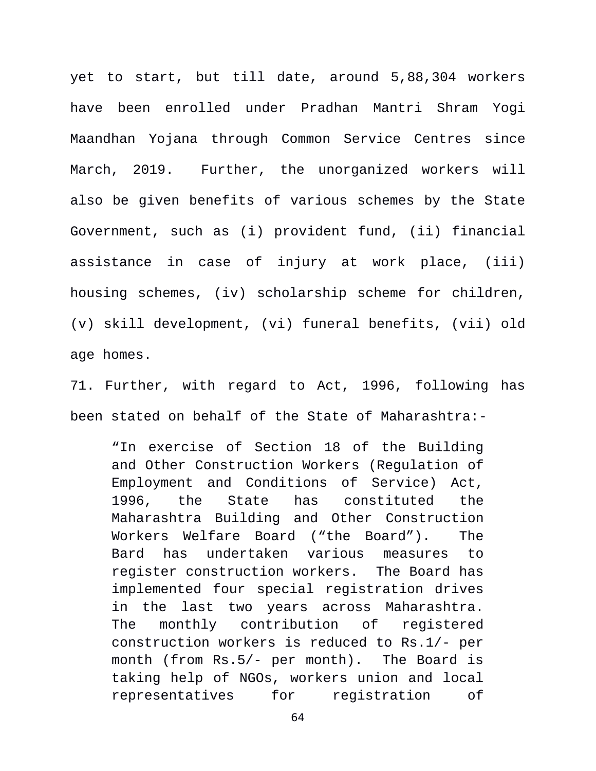yet to start, but till date, around 5,88,304 workers have been enrolled under Pradhan Mantri Shram Yogi Maandhan Yojana through Common Service Centres since March, 2019. Further, the unorganized workers will also be given benefits of various schemes by the State Government, such as (i) provident fund, (ii) financial assistance in case of injury at work place, (iii) housing schemes, (iv) scholarship scheme for children, (v) skill development, (vi) funeral benefits, (vii) old age homes.

71. Further, with regard to Act, 1996, following has been stated on behalf of the State of Maharashtra:-

"In exercise of Section 18 of the Building and Other Construction Workers (Regulation of Employment and Conditions of Service) Act, 1996, the State has constituted the Maharashtra Building and Other Construction Workers Welfare Board ("the Board"). The Bard has undertaken various measures to register construction workers. The Board has implemented four special registration drives in the last two years across Maharashtra. The monthly contribution of registered construction workers is reduced to Rs.1/- per month (from Rs.5/- per month). The Board is taking help of NGOs, workers union and local representatives for registration of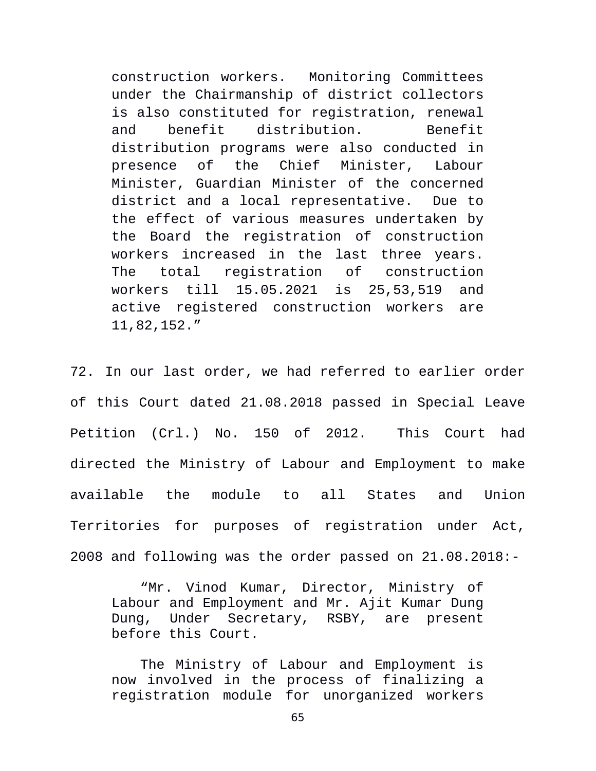construction workers. Monitoring Committees under the Chairmanship of district collectors is also constituted for registration, renewal and benefit distribution. Benefit distribution programs were also conducted in presence of the Chief Minister, Labour Minister, Guardian Minister of the concerned district and a local representative. Due to the effect of various measures undertaken by the Board the registration of construction workers increased in the last three years. The total registration of construction workers till 15.05.2021 is 25,53,519 and active registered construction workers are 11,82,152."

72. In our last order, we had referred to earlier order of this Court dated 21.08.2018 passed in Special Leave Petition (Crl.) No. 150 of 2012. This Court had directed the Ministry of Labour and Employment to make available the module to all States and Union Territories for purposes of registration under Act, 2008 and following was the order passed on 21.08.2018:-

"Mr. Vinod Kumar, Director, Ministry of Labour and Employment and Mr. Ajit Kumar Dung Dung, Under Secretary, RSBY, are present before this Court.

The Ministry of Labour and Employment is now involved in the process of finalizing a registration module for unorganized workers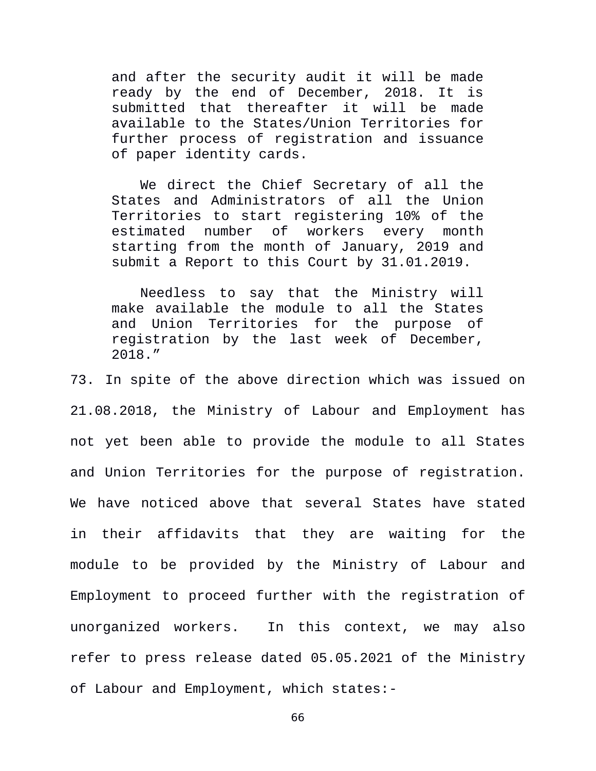and after the security audit it will be made ready by the end of December, 2018. It is submitted that thereafter it will be made available to the States/Union Territories for further process of registration and issuance of paper identity cards.

We direct the Chief Secretary of all the States and Administrators of all the Union Territories to start registering 10% of the estimated number of workers every month starting from the month of January, 2019 and submit a Report to this Court by 31.01.2019.

Needless to say that the Ministry will make available the module to all the States and Union Territories for the purpose of registration by the last week of December, 2018."

73. In spite of the above direction which was issued on 21.08.2018, the Ministry of Labour and Employment has not yet been able to provide the module to all States and Union Territories for the purpose of registration. We have noticed above that several States have stated in their affidavits that they are waiting for the module to be provided by the Ministry of Labour and Employment to proceed further with the registration of unorganized workers. In this context, we may also refer to press release dated 05.05.2021 of the Ministry of Labour and Employment, which states:-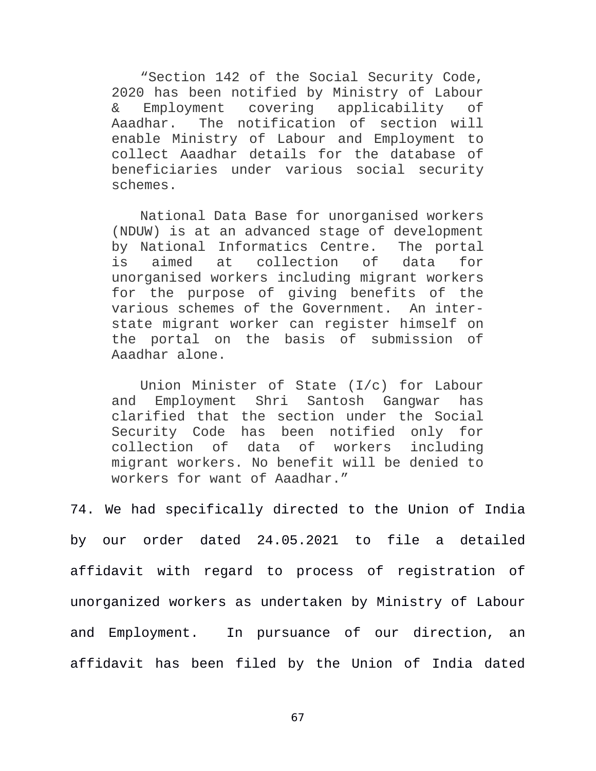"Section 142 of the Social Security Code, 2020 has been notified by Ministry of Labour & Employment covering applicability of Aaadhar. The notification of section will enable Ministry of Labour and Employment to collect Aaadhar details for the database of beneficiaries under various social security schemes.

National Data Base for unorganised workers (NDUW) is at an advanced stage of development by National Informatics Centre. The portal is aimed at collection of data for unorganised workers including migrant workers for the purpose of giving benefits of the various schemes of the Government. An interstate migrant worker can register himself on the portal on the basis of submission of Aaadhar alone.

Union Minister of State (I/c) for Labour and Employment Shri Santosh Gangwar has clarified that the section under the Social Security Code has been notified only for collection of data of workers including migrant workers. No benefit will be denied to workers for want of Aaadhar."

74. We had specifically directed to the Union of India by our order dated 24.05.2021 to file a detailed affidavit with regard to process of registration of unorganized workers as undertaken by Ministry of Labour and Employment. In pursuance of our direction, an affidavit has been filed by the Union of India dated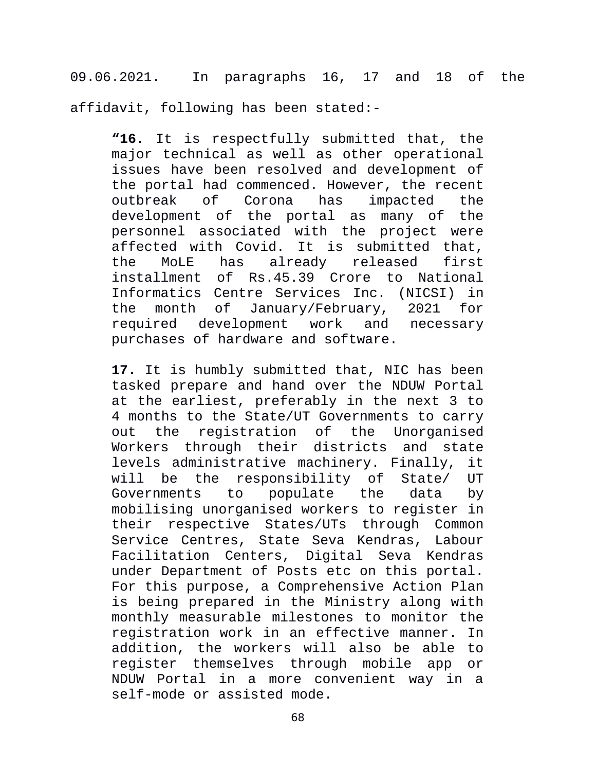09.06.2021. In paragraphs 16, 17 and 18 of the affidavit, following has been stated:-

**"16.** It is respectfully submitted that, the major technical as well as other operational issues have been resolved and development of the portal had commenced. However, the recent outbreak of Corona has impacted the development of the portal as many of the personnel associated with the project were affected with Covid. It is submitted that, the MoLE has already released first installment of Rs.45.39 Crore to National Informatics Centre Services Inc. (NICSI) in the month of January/February, 2021 for required development work and necessary purchases of hardware and software.

**17.** It is humbly submitted that, NIC has been tasked prepare and hand over the NDUW Portal at the earliest, preferably in the next 3 to 4 months to the State/UT Governments to carry out the registration of the Unorganised Workers through their districts and state levels administrative machinery. Finally, it will be the responsibility of State/ UT Governments to populate the data by mobilising unorganised workers to register in their respective States/UTs through Common Service Centres, State Seva Kendras, Labour Facilitation Centers, Digital Seva Kendras under Department of Posts etc on this portal. For this purpose, a Comprehensive Action Plan is being prepared in the Ministry along with monthly measurable milestones to monitor the registration work in an effective manner. In addition, the workers will also be able to register themselves through mobile app or NDUW Portal in a more convenient way in a self-mode or assisted mode.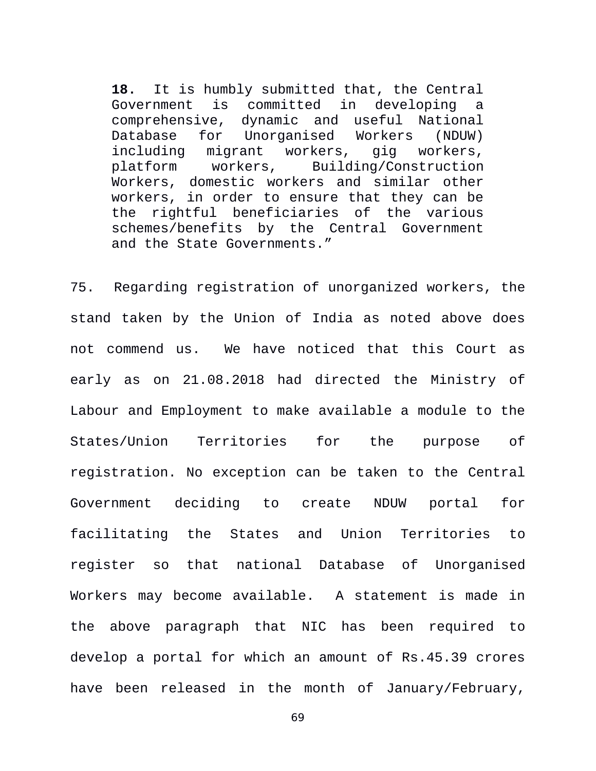**18.** It is humbly submitted that, the Central Government is committed in developing a comprehensive, dynamic and useful National Database for Unorganised Workers (NDUW) including migrant workers, gig workers, platform workers, Building/Construction Workers, domestic workers and similar other workers, in order to ensure that they can be the rightful beneficiaries of the various schemes/benefits by the Central Government and the State Governments."

75. Regarding registration of unorganized workers, the stand taken by the Union of India as noted above does not commend us. We have noticed that this Court as early as on 21.08.2018 had directed the Ministry of Labour and Employment to make available a module to the States/Union Territories for the purpose of registration. No exception can be taken to the Central Government deciding to create NDUW portal for facilitating the States and Union Territories to register so that national Database of Unorganised Workers may become available. A statement is made in the above paragraph that NIC has been required to develop a portal for which an amount of Rs.45.39 crores have been released in the month of January/February,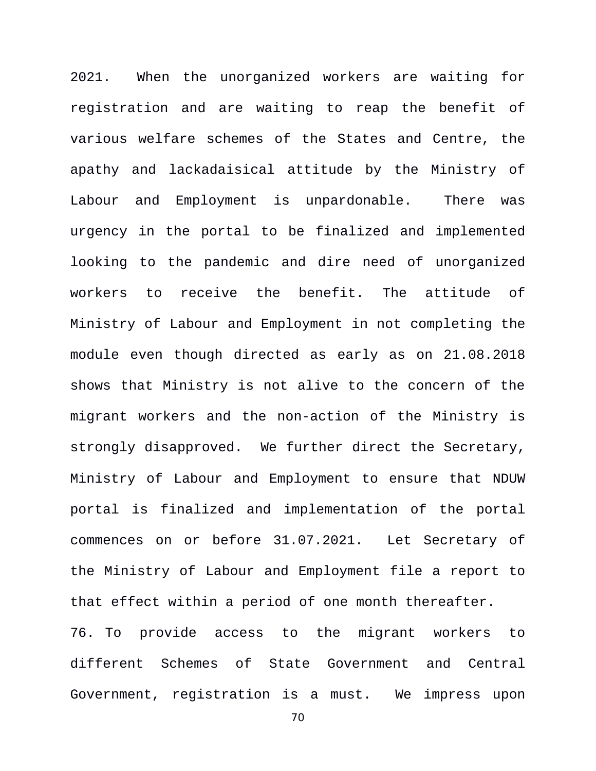2021. When the unorganized workers are waiting for registration and are waiting to reap the benefit of various welfare schemes of the States and Centre, the apathy and lackadaisical attitude by the Ministry of Labour and Employment is unpardonable. There was urgency in the portal to be finalized and implemented looking to the pandemic and dire need of unorganized workers to receive the benefit. The attitude of Ministry of Labour and Employment in not completing the module even though directed as early as on 21.08.2018 shows that Ministry is not alive to the concern of the migrant workers and the non-action of the Ministry is strongly disapproved. We further direct the Secretary, Ministry of Labour and Employment to ensure that NDUW portal is finalized and implementation of the portal commences on or before 31.07.2021. Let Secretary of the Ministry of Labour and Employment file a report to that effect within a period of one month thereafter.

76. To provide access to the migrant workers to different Schemes of State Government and Central Government, registration is a must. We impress upon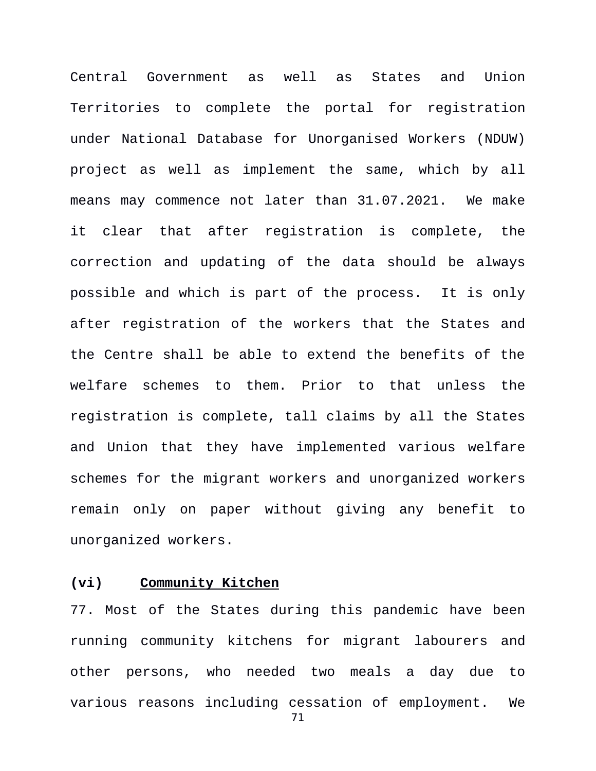Central Government as well as States and Union Territories to complete the portal for registration under National Database for Unorganised Workers (NDUW) project as well as implement the same, which by all means may commence not later than 31.07.2021. We make it clear that after registration is complete, the correction and updating of the data should be always possible and which is part of the process. It is only after registration of the workers that the States and the Centre shall be able to extend the benefits of the welfare schemes to them. Prior to that unless the registration is complete, tall claims by all the States and Union that they have implemented various welfare schemes for the migrant workers and unorganized workers remain only on paper without giving any benefit to unorganized workers.

### **(vi) Community Kitchen**

77. Most of the States during this pandemic have been running community kitchens for migrant labourers and other persons, who needed two meals a day due to various reasons including cessation of employment. We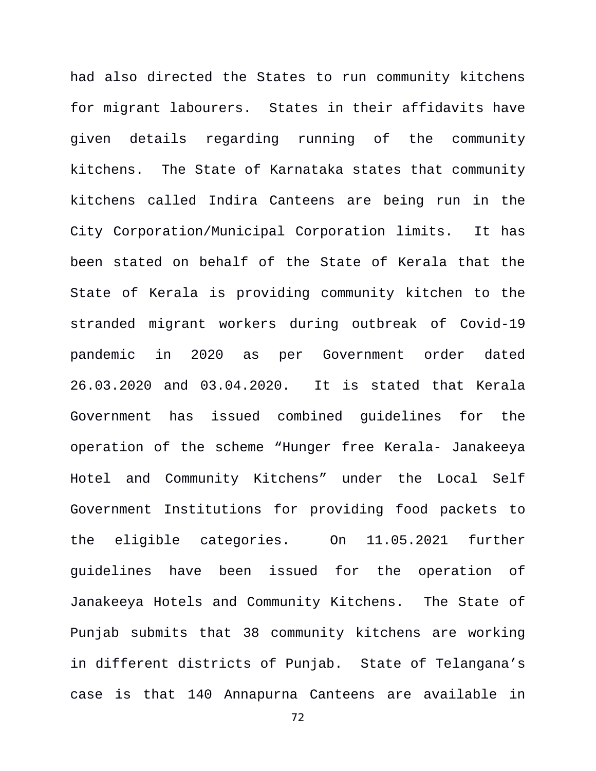had also directed the States to run community kitchens for migrant labourers. States in their affidavits have given details regarding running of the community kitchens. The State of Karnataka states that community kitchens called Indira Canteens are being run in the City Corporation/Municipal Corporation limits. It has been stated on behalf of the State of Kerala that the State of Kerala is providing community kitchen to the stranded migrant workers during outbreak of Covid-19 pandemic in 2020 as per Government order dated 26.03.2020 and 03.04.2020. It is stated that Kerala Government has issued combined guidelines for the operation of the scheme "Hunger free Kerala- Janakeeya Hotel and Community Kitchens" under the Local Self Government Institutions for providing food packets to the eligible categories. On 11.05.2021 further guidelines have been issued for the operation of Janakeeya Hotels and Community Kitchens. The State of Punjab submits that 38 community kitchens are working in different districts of Punjab.State of Telangana's case is that 140 Annapurna Canteens are available in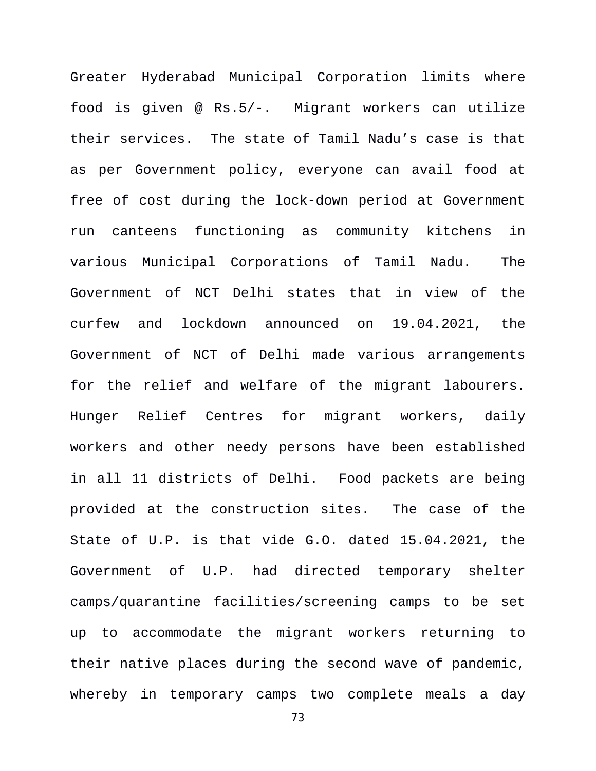Greater Hyderabad Municipal Corporation limits where food is given @ Rs.5/-. Migrant workers can utilize their services. The state of Tamil Nadu's case is that as per Government policy, everyone can avail food at free of cost during the lock-down period at Government run canteens functioning as community kitchens in various Municipal Corporations of Tamil Nadu. The Government of NCT Delhi states that in view of the curfew and lockdown announced on 19.04.2021, the Government of NCT of Delhi made various arrangements for the relief and welfare of the migrant labourers. Hunger Relief Centres for migrant workers, daily workers and other needy persons have been established in all 11 districts of Delhi. Food packets are being provided at the construction sites. The case of the State of U.P. is that vide G.O. dated 15.04.2021, the Government of U.P. had directed temporary shelter camps/quarantine facilities/screening camps to be set up to accommodate the migrant workers returning to their native places during the second wave of pandemic, whereby in temporary camps two complete meals a day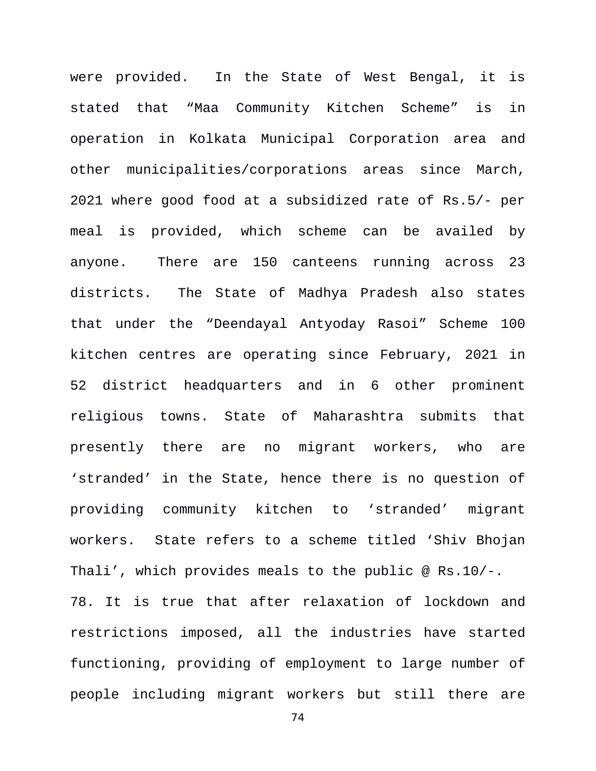were provided. In the State of West Bengal, it is stated that "Maa Community Kitchen Scheme" is in operation in Kolkata Municipal Corporation area and other municipalities/corporations areas since March, 2021 where good food at a subsidized rate of Rs.5/- per meal is provided, which scheme can be availed by anyone. There are 150 canteens running across 23 districts. The State of Madhya Pradesh also states that under the "Deendayal Antyoday Rasoi" Scheme 100 kitchen centres are operating since February, 2021 in 52 district headquarters and in 6 other prominent religious towns. State of Maharashtra submits that presently there are no migrant workers, who are 'stranded' in the State, hence there is no question of providing community kitchen to 'stranded' migrant workers. State refers to a scheme titled 'Shiv Bhojan Thali', which provides meals to the public @ Rs.10/-. 78. It is true that after relaxation of lockdown and restrictions imposed, all the industries have started functioning, providing of employment to large number of people including migrant workers but still there are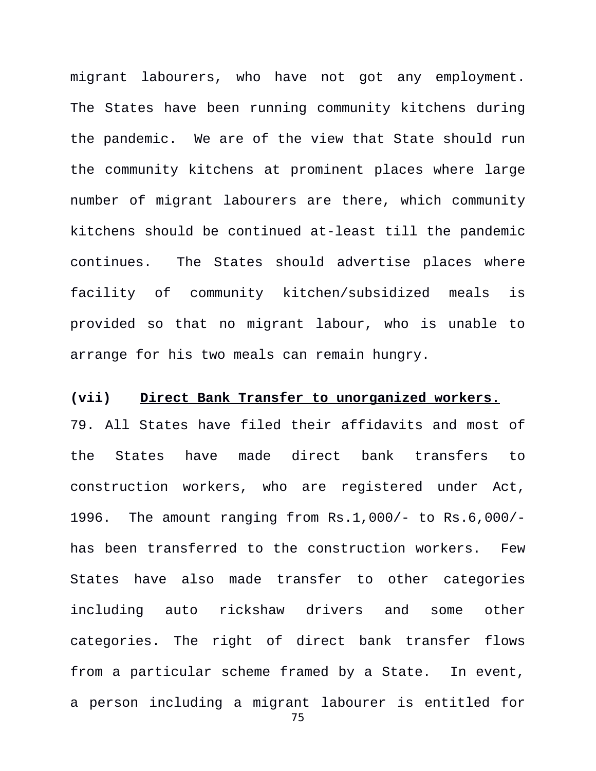migrant labourers, who have not got any employment. The States have been running community kitchens during the pandemic. We are of the view that State should run the community kitchens at prominent places where large number of migrant labourers are there, which community kitchens should be continued at-least till the pandemic continues. The States should advertise places where facility of community kitchen/subsidized meals is provided so that no migrant labour, who is unable to arrange for his two meals can remain hungry.

## **(vii) Direct Bank Transfer to unorganized workers.**

79. All States have filed their affidavits and most of the States have made direct bank transfers to construction workers, who are registered under Act, 1996. The amount ranging from Rs.1,000/- to Rs.6,000/ has been transferred to the construction workers. Few States have also made transfer to other categories including auto rickshaw drivers and some other categories. The right of direct bank transfer flows from a particular scheme framed by a State. In event, a person including a migrant labourer is entitled for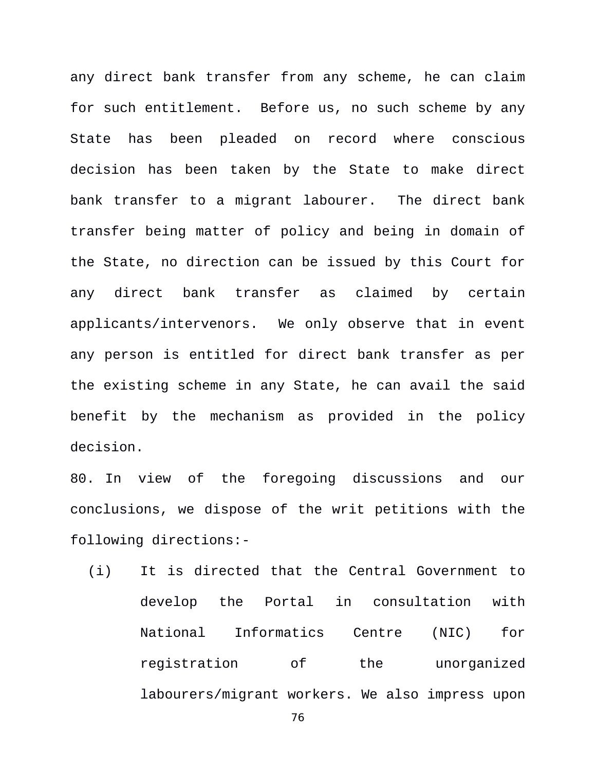any direct bank transfer from any scheme, he can claim for such entitlement. Before us, no such scheme by any State has been pleaded on record where conscious decision has been taken by the State to make direct bank transfer to a migrant labourer. The direct bank transfer being matter of policy and being in domain of the State, no direction can be issued by this Court for any direct bank transfer as claimed by certain applicants/intervenors. We only observe that in event any person is entitled for direct bank transfer as per the existing scheme in any State, he can avail the said benefit by the mechanism as provided in the policy decision.

80. In view of the foregoing discussions and our conclusions, we dispose of the writ petitions with the following directions:-

(i) It is directed that the Central Government to develop the Portal in consultation with National Informatics Centre (NIC) for registration of the unorganized labourers/migrant workers. We also impress upon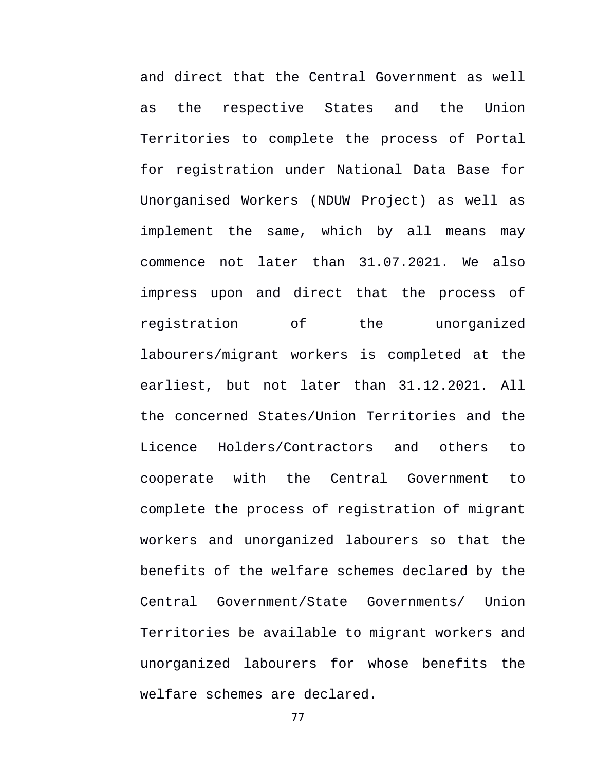and direct that the Central Government as well as the respective States and the Union Territories to complete the process of Portal for registration under National Data Base for Unorganised Workers (NDUW Project) as well as implement the same, which by all means may commence not later than 31.07.2021. We also impress upon and direct that the process of registration of the unorganized labourers/migrant workers is completed at the earliest, but not later than 31.12.2021. All the concerned States/Union Territories and the Licence Holders/Contractors and others to cooperate with the Central Government to complete the process of registration of migrant workers and unorganized labourers so that the benefits of the welfare schemes declared by the Central Government/State Governments/ Union Territories be available to migrant workers and unorganized labourers for whose benefits the welfare schemes are declared.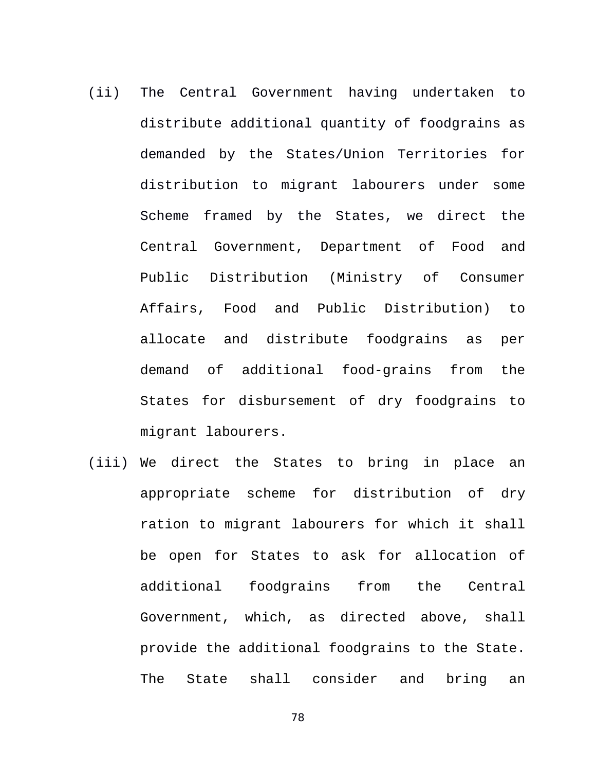- (ii) The Central Government having undertaken to distribute additional quantity of foodgrains as demanded by the States/Union Territories for distribution to migrant labourers under some Scheme framed by the States, we direct the Central Government, Department of Food and Public Distribution (Ministry of Consumer Affairs, Food and Public Distribution) to allocate and distribute foodgrains as per demand of additional food-grains from the States for disbursement of dry foodgrains to migrant labourers.
- (iii) We direct the States to bring in place an appropriate scheme for distribution of dry ration to migrant labourers for which it shall be open for States to ask for allocation of additional foodgrains from the Central Government, which, as directed above, shall provide the additional foodgrains to the State. The State shall consider and bring an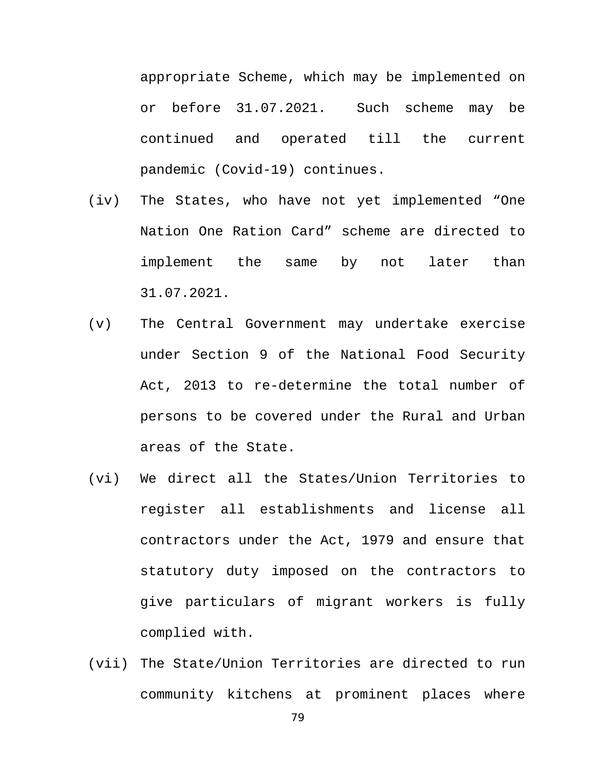appropriate Scheme, which may be implemented on or before 31.07.2021. Such scheme may be continued and operated till the current pandemic (Covid-19) continues.

- (iv) The States, who have not yet implemented "One Nation One Ration Card" scheme are directed to implement the same by not later than 31.07.2021.
- (v) The Central Government may undertake exercise under Section 9 of the National Food Security Act, 2013 to re-determine the total number of persons to be covered under the Rural and Urban areas of the State.
- (vi) We direct all the States/Union Territories to register all establishments and license all contractors under the Act, 1979 and ensure that statutory duty imposed on the contractors to give particulars of migrant workers is fully complied with.
- (vii) The State/Union Territories are directed to run community kitchens at prominent places where